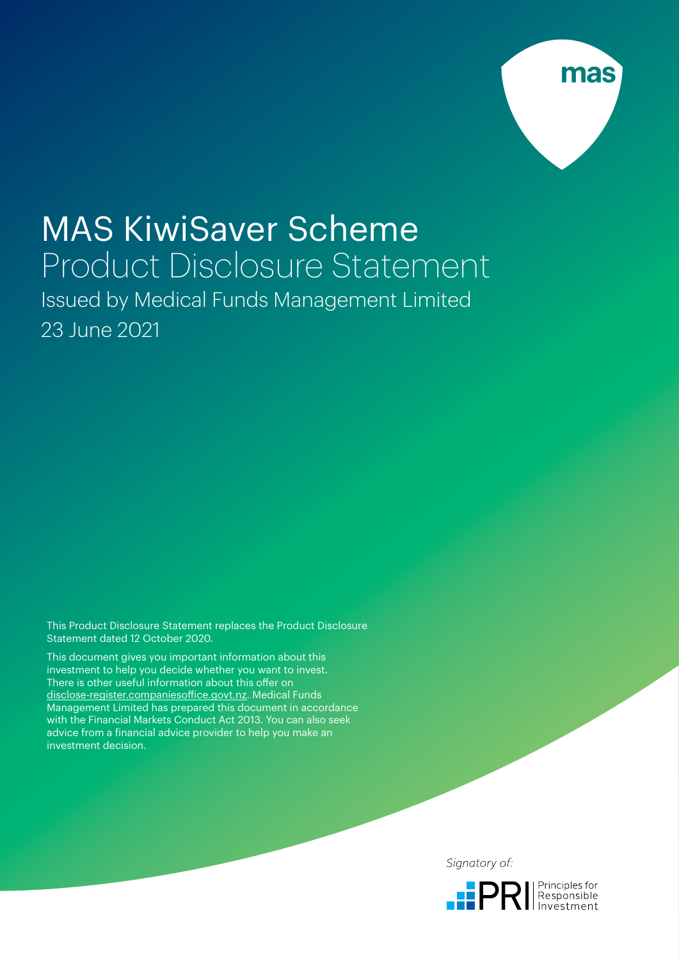

# MAS KiwiSaver Scheme Product Disclosure Statement

Issued by Medical Funds Management Limited 23 June 2021

This Product Disclosure Statement replaces the Product Disclosure Statement dated 12 October 2020.

This document gives you important information about this investment to help you decide whether you want to invest. There is other useful information about this offer on [disclose-register.companiesoffice.govt.nz](http://disclose-register.companiesoffice.govt.nz). Medical Funds Management Limited has prepared this document in accordance with the Financial Markets Conduct Act 2013. You can also seek advice from a financial advice provider to help you make an investment decision.

Signatory of:

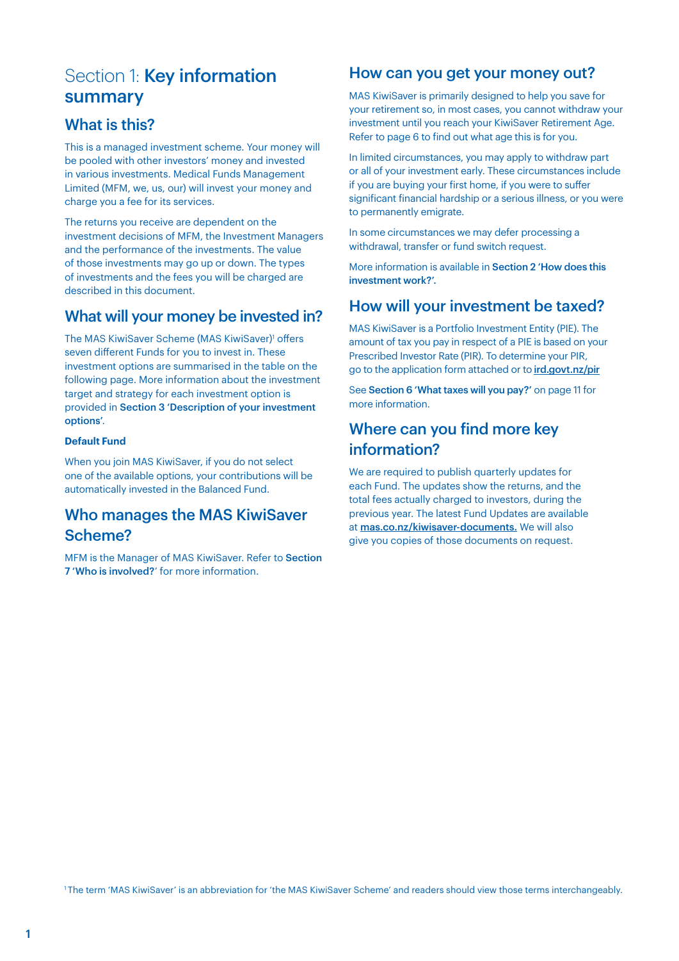# Section 1: Key information summary

# What is this?

This is a managed investment scheme. Your money will be pooled with other investors' money and invested in various investments. Medical Funds Management Limited (MFM, we, us, our) will invest your money and charge you a fee for its services.

The returns you receive are dependent on the investment decisions of MFM, the Investment Managers and the performance of the investments. The value of those investments may go up or down. The types of investments and the fees you will be charged are described in this document.

# What will your money be invested in?

The MAS KiwiSaver Scheme (MAS KiwiSaver)<sup>1</sup> offers seven different Funds for you to invest in. These investment options are summarised in the table on the following page. More information about the investment target and strategy for each investment option is provided in Section 3 'Description of your investment options'.

#### **Default Fund**

When you join MAS KiwiSaver, if you do not select one of the available options, your contributions will be automatically invested in the Balanced Fund.

# Who manages the MAS KiwiSaver Scheme?

MFM is the Manager of MAS KiwiSaver. Refer to Section 7 'Who is involved?' for more information.

# How can you get your money out?

MAS KiwiSaver is primarily designed to help you save for your retirement so, in most cases, you cannot withdraw your investment until you reach your KiwiSaver Retirement Age. Refer to page 6 to find out what age this is for you.

In limited circumstances, you may apply to withdraw part or all of your investment early. These circumstances include if you are buying your first home, if you were to suffer significant financial hardship or a serious illness, or you were to permanently emigrate.

In some circumstances we may defer processing a withdrawal, transfer or fund switch request.

More information is available in Section 2 'How does this investment work?'.

# How will your investment be taxed?

MAS KiwiSaver is a Portfolio Investment Entity (PIE). The amount of tax you pay in respect of a PIE is based on your Prescribed Investor Rate (PIR). To determine your PIR, go to the application form attached or to [ird.govt.nz/pir](http://ird.govt.nz/pir)

See Section 6 'What taxes will you pay?' on page 11 for more information.

# Where can you find more key information?

We are required to publish quarterly updates for each Fund. The updates show the returns, and the total fees actually charged to investors, during the previous year. The latest Fund Updates are available at [mas.co.nz/kiwisaver-documents](http://mas.co.nz/kiwisaver-documents). We will also give you copies of those documents on request.

1 The term 'MAS KiwiSaver' is an abbreviation for 'the MAS KiwiSaver Scheme' and readers should view those terms interchangeably.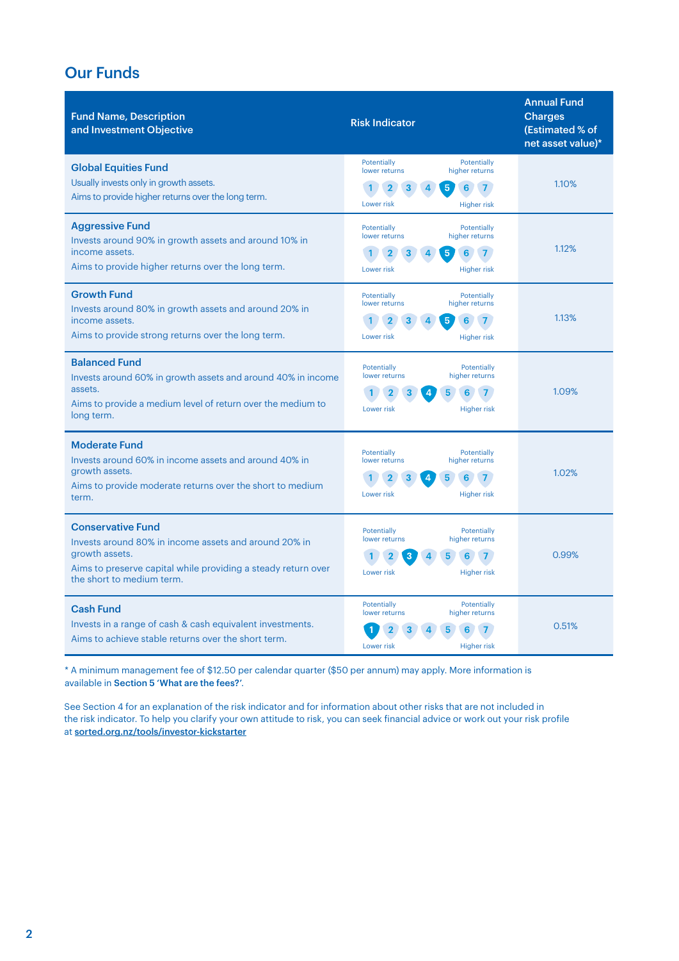# Our Funds

| <b>Fund Name, Description</b><br>and Investment Objective                                                                                                                                         | <b>Risk Indicator</b>                                                                                                         | <b>Annual Fund</b><br><b>Charges</b><br>(Estimated % of<br>net asset value)* |
|---------------------------------------------------------------------------------------------------------------------------------------------------------------------------------------------------|-------------------------------------------------------------------------------------------------------------------------------|------------------------------------------------------------------------------|
| <b>Global Equities Fund</b><br>Usually invests only in growth assets.<br>Aims to provide higher returns over the long term.                                                                       | Potentially<br>Potentially<br>lower returns<br>higher returns<br>5<br>6<br>Lower risk<br><b>Higher risk</b>                   | 1.10%                                                                        |
| <b>Aggressive Fund</b><br>Invests around 90% in growth assets and around 10% in<br>income assets.<br>Aims to provide higher returns over the long term.                                           | Potentially<br>Potentially<br>lower returns<br>higher returns<br>6<br>5<br>$\overline{7}$<br><b>Higher risk</b><br>Lower risk | 1.12%                                                                        |
| <b>Growth Fund</b><br>Invests around 80% in growth assets and around 20% in<br>income assets.<br>Aims to provide strong returns over the long term.                                               | Potentially<br>Potentially<br>higher returns<br>lower returns<br>5<br>Lower risk<br><b>Higher risk</b>                        | 1.13%                                                                        |
| <b>Balanced Fund</b><br>Invests around 60% in growth assets and around 40% in income<br>assets.<br>Aims to provide a medium level of return over the medium to<br>long term.                      | Potentially<br>Potentially<br>higher returns<br>lower returns<br>5<br>6<br>Lower risk<br><b>Higher risk</b>                   | 1.09%                                                                        |
| <b>Moderate Fund</b><br>Invests around 60% in income assets and around 40% in<br>growth assets.<br>Aims to provide moderate returns over the short to medium<br>term.                             | Potentially<br>Potentially<br>higher returns<br>lower returns<br>5<br>6<br>Lower risk<br><b>Higher risk</b>                   | 1.02%                                                                        |
| <b>Conservative Fund</b><br>Invests around 80% in income assets and around 20% in<br>growth assets.<br>Aims to preserve capital while providing a steady return over<br>the short to medium term. | Potentially<br>Potentially<br>higher returns<br>lower returns<br>Lower risk<br><b>Higher risk</b>                             | 0.99%                                                                        |
| <b>Cash Fund</b><br>Invests in a range of cash & cash equivalent investments.<br>Aims to achieve stable returns over the short term.                                                              | Potentially<br>Potentially<br>lower returns<br>higher returns<br>Lower risk<br><b>Higher risk</b>                             | 0.51%                                                                        |

\* A minimum management fee of \$12.50 per calendar quarter (\$50 per annum) may apply. More information is available in Section 5 'What are the fees?'.

See Section 4 for an explanation of the risk indicator and for information about other risks that are not included in the risk indicator. To help you clarify your own attitude to risk, you can seek financial advice or work out your risk profile at [sorted.org.nz/tools/investor-kickstarter](http://sorted.org.nz/tools/investor-kickstarter)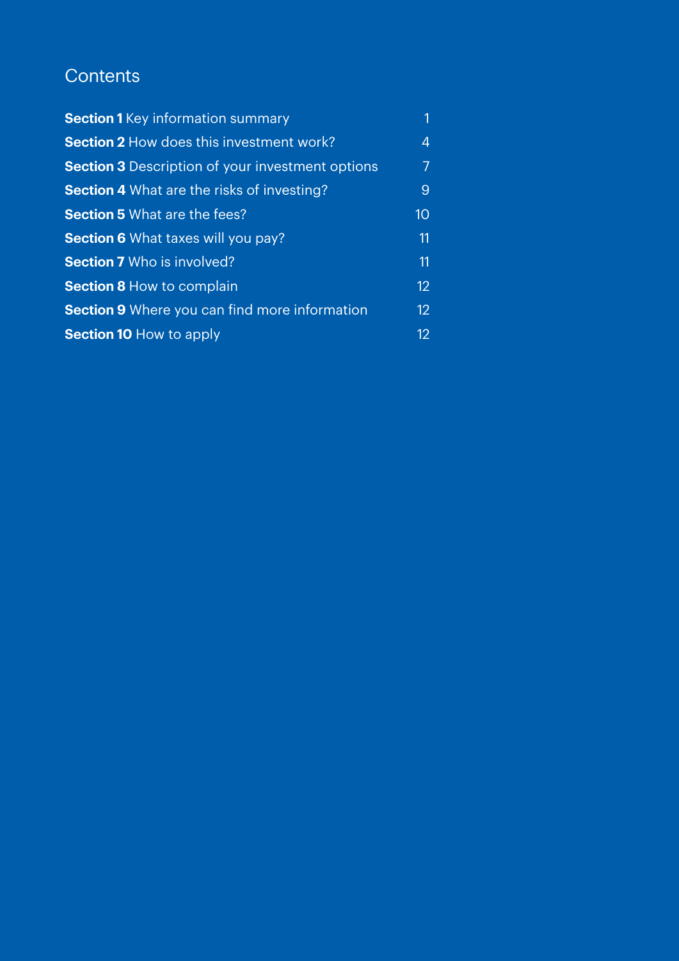# **Contents**

| <b>Section 1</b> Key information summary                | 1                 |
|---------------------------------------------------------|-------------------|
| <b>Section 2 How does this investment work?</b>         | 4                 |
| <b>Section 3</b> Description of your investment options |                   |
| <b>Section 4</b> What are the risks of investing?       | 9                 |
| <b>Section 5 What are the fees?</b>                     | 10                |
| <b>Section 6</b> What taxes will you pay?               | 11                |
| <b>Section 7</b> Who is involved?                       | 11                |
| <b>Section 8 How to complain</b>                        | 12                |
| <b>Section 9</b> Where you can find more information    | $12 \overline{ }$ |
| <b>Section 10 How to apply</b>                          | 12                |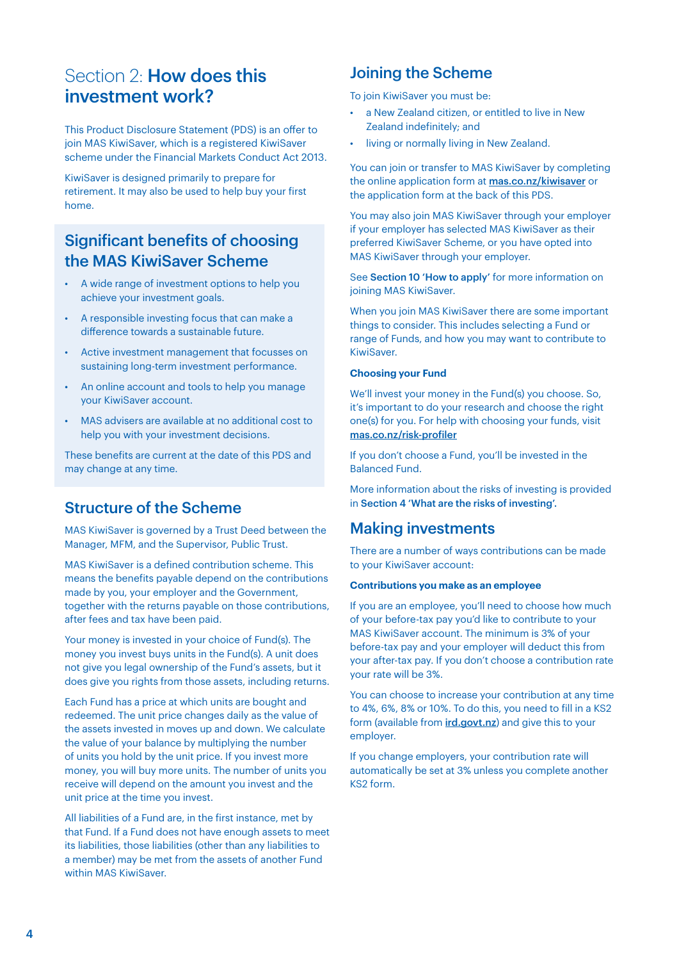# Section 2: **How does this** investment work?

This Product Disclosure Statement (PDS) is an offer to join MAS KiwiSaver, which is a registered KiwiSaver scheme under the Financial Markets Conduct Act 2013.

KiwiSaver is designed primarily to prepare for retirement. It may also be used to help buy your first home.

# Significant benefits of choosing the MAS KiwiSaver Scheme

- A wide range of investment options to help you achieve your investment goals.
- A responsible investing focus that can make a difference towards a sustainable future.
- Active investment management that focusses on sustaining long-term investment performance.
- An online account and tools to help you manage your KiwiSaver account.
- MAS advisers are available at no additional cost to help you with your investment decisions.

These benefits are current at the date of this PDS and may change at any time.

# Structure of the Scheme

MAS KiwiSaver is governed by a Trust Deed between the Manager, MFM, and the Supervisor, Public Trust.

MAS KiwiSaver is a defined contribution scheme. This means the benefits payable depend on the contributions made by you, your employer and the Government, together with the returns payable on those contributions, after fees and tax have been paid.

Your money is invested in your choice of Fund(s). The money you invest buys units in the Fund(s). A unit does not give you legal ownership of the Fund's assets, but it does give you rights from those assets, including returns.

Each Fund has a price at which units are bought and redeemed. The unit price changes daily as the value of the assets invested in moves up and down. We calculate the value of your balance by multiplying the number of units you hold by the unit price. If you invest more money, you will buy more units. The number of units you receive will depend on the amount you invest and the unit price at the time you invest.

All liabilities of a Fund are, in the first instance, met by that Fund. If a Fund does not have enough assets to meet its liabilities, those liabilities (other than any liabilities to a member) may be met from the assets of another Fund within MAS KiwiSaver.

# Joining the Scheme

To join KiwiSaver you must be:

- a New Zealand citizen, or entitled to live in New Zealand indefinitely; and
- living or normally living in New Zealand.

You can join or transfer to MAS KiwiSaver by completing the online application form at **[mas.co.nz/kiwisaver](http://)** or the application form at the back of this PDS.

You may also join MAS KiwiSaver through your employer if your employer has selected MAS KiwiSaver as their preferred KiwiSaver Scheme, or you have opted into MAS KiwiSaver through your employer.

See Section 10 'How to apply' for more information on joining MAS KiwiSaver.

When you join MAS KiwiSaver there are some important things to consider. This includes selecting a Fund or range of Funds, and how you may want to contribute to KiwiSaver.

#### **Choosing your Fund**

We'll invest your money in the Fund(s) you choose. So, it's important to do your research and choose the right one(s) for you. For help with choosing your funds, visit [mas.co.nz/risk-profiler](http://mas.co.nz/risk-profiler)

If you don't choose a Fund, you'll be invested in the Balanced Fund.

More information about the risks of investing is provided in Section 4 'What are the risks of investing'.

# Making investments

There are a number of ways contributions can be made to your KiwiSaver account:

#### **Contributions you make as an employee**

If you are an employee, you'll need to choose how much of your before-tax pay you'd like to contribute to your MAS KiwiSaver account. The minimum is 3% of your before-tax pay and your employer will deduct this from your after-tax pay. If you don't choose a contribution rate your rate will be 3%.

You can choose to increase your contribution at any time to 4%, 6%, 8% or 10%. To do this, you need to fill in a KS2 form (available from **[ird.govt.nz](http://ird.govt.nz)**) and give this to your employer.

If you change employers, your contribution rate will automatically be set at 3% unless you complete another KS2 form.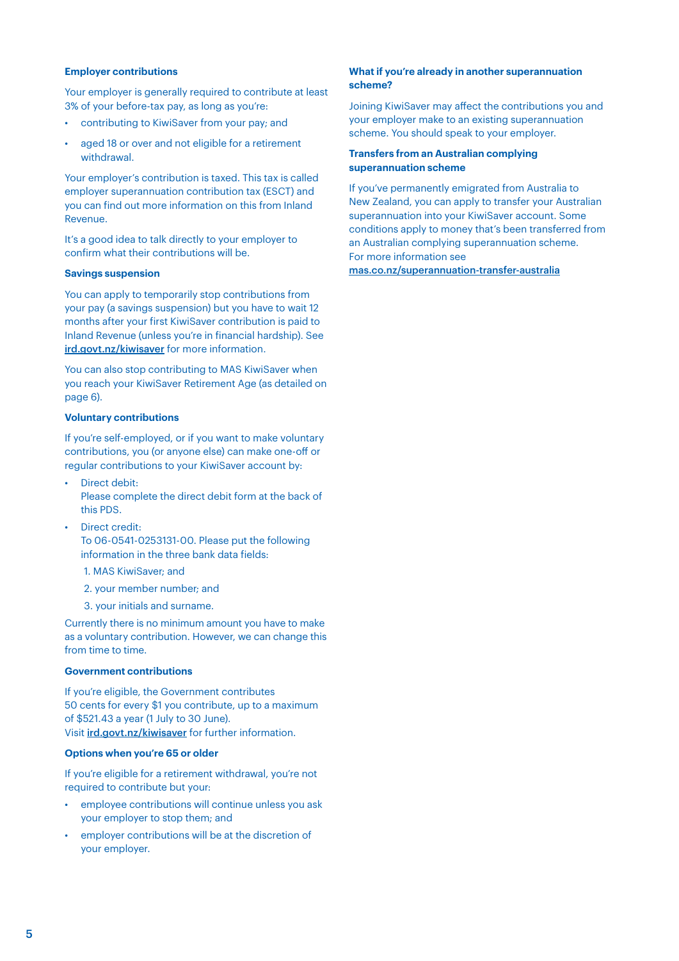#### **Employer contributions**

Your employer is generally required to contribute at least 3% of your before-tax pay, as long as you're:

- contributing to KiwiSaver from your pay; and
- aged 18 or over and not eligible for a retirement withdrawal.

Your employer's contribution is taxed. This tax is called employer superannuation contribution tax (ESCT) and you can find out more information on this from Inland Revenue.

It's a good idea to talk directly to your employer to confirm what their contributions will be.

#### **Savings suspension**

You can apply to temporarily stop contributions from your pay (a savings suspension) but you have to wait 12 months after your first KiwiSaver contribution is paid to Inland Revenue (unless you're in financial hardship). See [ird.govt.nz/kiwisaver](http://ird.govt.nz/kiwisaver) for more information.

You can also stop contributing to MAS KiwiSaver when you reach your KiwiSaver Retirement Age (as detailed on page 6).

#### **Voluntary contributions**

If you're self-employed, or if you want to make voluntary contributions, you (or anyone else) can make one-off or regular contributions to your KiwiSaver account by:

- Direct debit: Please complete the direct debit form at the back of this PDS.
- Direct credit: To 06-0541-0253131-00. Please put the following information in the three bank data fields:
	- 1. MAS KiwiSaver; and
	- 2. your member number; and
	- 3. your initials and surname.

Currently there is no minimum amount you have to make as a voluntary contribution. However, we can change this from time to time.

#### **Government contributions**

If you're eligible, the Government contributes 50 cents for every \$1 you contribute, up to a maximum of \$521.43 a year (1 July to 30 June). Visit [ird.govt.nz/kiwisaver](http://ird.govt.nz/kiwisaver) for further information.

#### **Options when you're 65 or older**

If you're eligible for a retirement withdrawal, you're not required to contribute but your:

- employee contributions will continue unless you ask your employer to stop them; and
- employer contributions will be at the discretion of your employer.

#### **What if you're already in another superannuation scheme?**

Joining KiwiSaver may affect the contributions you and your employer make to an existing superannuation scheme. You should speak to your employer.

#### **Transfers from an Australian complying superannuation scheme**

If you've permanently emigrated from Australia to New Zealand, you can apply to transfer your Australian superannuation into your KiwiSaver account. Some conditions apply to money that's been transferred from an Australian complying superannuation scheme. For more information see

[mas.co.nz/superannuation-transfer-australia](http://mas.co.nz/superannuation-transfer-australia)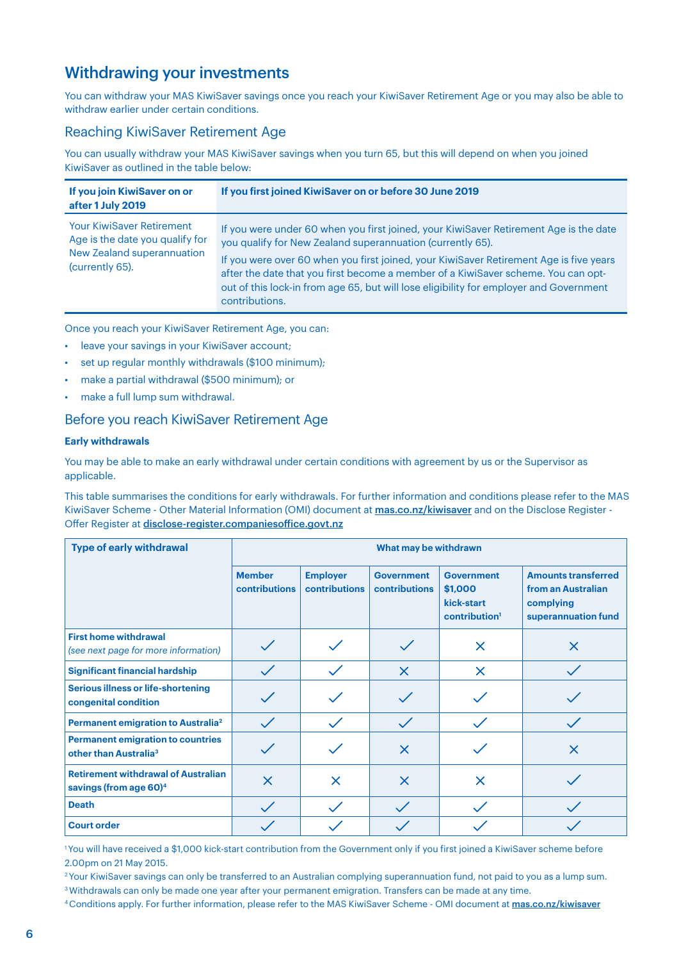# Withdrawing your investments

You can withdraw your MAS KiwiSaver savings once you reach your KiwiSaver Retirement Age or you may also be able to withdraw earlier under certain conditions.

### Reaching KiwiSaver Retirement Age

You can usually withdraw your MAS KiwiSaver savings when you turn 65, but this will depend on when you joined KiwiSaver as outlined in the table below:

| If you join KiwiSaver on or<br>after 1 July 2019                                                                            | If you first joined KiwiSaver on or before 30 June 2019                                                                                                                                                                                                                                                                                                                                                                                        |
|-----------------------------------------------------------------------------------------------------------------------------|------------------------------------------------------------------------------------------------------------------------------------------------------------------------------------------------------------------------------------------------------------------------------------------------------------------------------------------------------------------------------------------------------------------------------------------------|
| <b>Your KiwiSaver Retirement</b><br>Age is the date you qualify for<br><b>New Zealand superannuation</b><br>(currently 65). | If you were under 60 when you first joined, your KiwiSaver Retirement Age is the date<br>you qualify for New Zealand superannuation (currently 65).<br>If you were over 60 when you first joined, your KiwiSaver Retirement Age is five years<br>after the date that you first become a member of a KiwiSaver scheme. You can opt-<br>out of this lock-in from age 65, but will lose eligibility for employer and Government<br>contributions. |

Once you reach your KiwiSaver Retirement Age, you can:

- leave your savings in your KiwiSaver account;
- set up regular monthly withdrawals (\$100 minimum);
- make a partial withdrawal (\$500 minimum); or
- make a full lump sum withdrawal.

### Before you reach KiwiSaver Retirement Age

#### **Early withdrawals**

You may be able to make an early withdrawal under certain conditions with agreement by us or the Supervisor as applicable.

This table summarises the conditions for early withdrawals. For further information and conditions please refer to the MAS KiwiSaver Scheme - Other Material Information (OMI) document at [mas.co.nz/kiwisaver](http://mas.co.nz/kiwisaver) and on the Disclose Register -Offer Register at [disclose-register.companiesoffice.govt.nz](http://disclose-register.companiesoffice.govt.nz)

| <b>Type of early withdrawal</b>                                                  | What may be withdrawn                 |                                         |                                           |                                                                         |                                                                                      |
|----------------------------------------------------------------------------------|---------------------------------------|-----------------------------------------|-------------------------------------------|-------------------------------------------------------------------------|--------------------------------------------------------------------------------------|
|                                                                                  | <b>Member</b><br><b>contributions</b> | <b>Employer</b><br><b>contributions</b> | <b>Government</b><br><b>contributions</b> | <b>Government</b><br>\$1,000<br>kick-start<br>contribution <sup>1</sup> | <b>Amounts transferred</b><br>from an Australian<br>complying<br>superannuation fund |
| <b>First home withdrawal</b><br>(see next page for more information)             |                                       |                                         |                                           | $\times$                                                                | $\times$                                                                             |
| <b>Significant financial hardship</b>                                            |                                       |                                         | $\times$                                  | $\times$                                                                |                                                                                      |
| <b>Serious illness or life-shortening</b><br>congenital condition                |                                       |                                         |                                           |                                                                         |                                                                                      |
| Permanent emigration to Australia <sup>2</sup>                                   | $\checkmark$                          |                                         | $\checkmark$                              |                                                                         |                                                                                      |
| <b>Permanent emigration to countries</b><br>other than Australia <sup>3</sup>    |                                       |                                         | $\times$                                  |                                                                         | $\times$                                                                             |
| <b>Retirement withdrawal of Australian</b><br>savings (from age 60) <sup>4</sup> | $\times$                              | $\times$                                | $\times$                                  | $\times$                                                                |                                                                                      |
| <b>Death</b>                                                                     | $\checkmark$                          |                                         | $\checkmark$                              |                                                                         |                                                                                      |
| <b>Court order</b>                                                               |                                       |                                         |                                           |                                                                         |                                                                                      |

1 You will have received a \$1,000 kick-start contribution from the Government only if you first joined a KiwiSaver scheme before 2.00pm on 21 May 2015.

<sup>2</sup> Your KiwiSaver savings can only be transferred to an Australian complying superannuation fund, not paid to you as a lump sum. <sup>3</sup> Withdrawals can only be made one year after your permanent emigration. Transfers can be made at any time.

4 Conditions apply. For further information, please refer to the MAS KiwiSaver Scheme - OMI document at [mas.co.nz/kiwisaver](http://mas.co.nz/kiwisaver)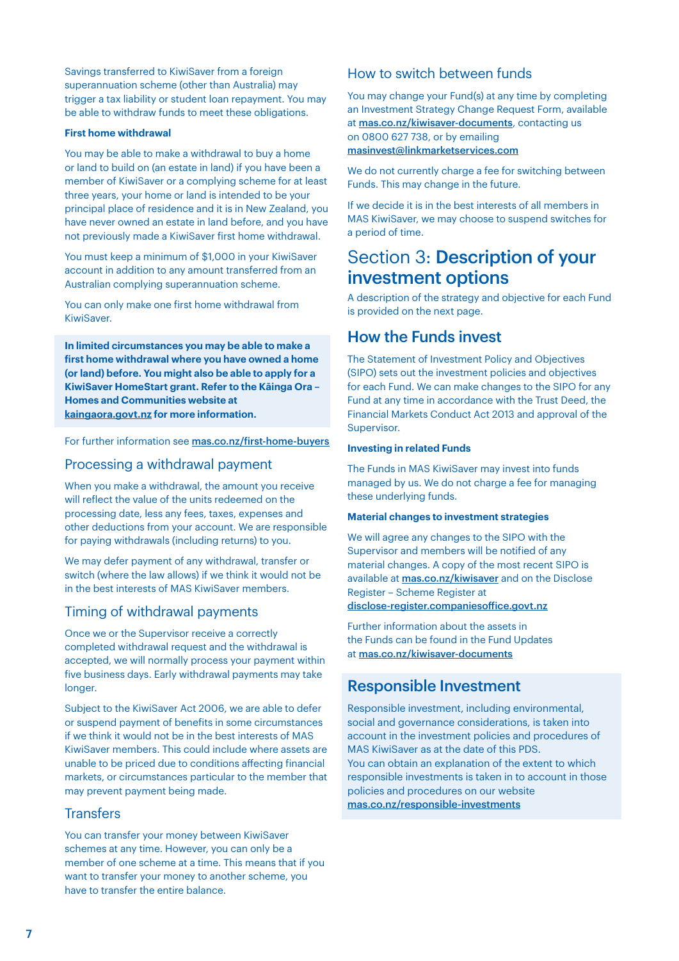Savings transferred to KiwiSaver from a foreign superannuation scheme (other than Australia) may trigger a tax liability or student loan repayment. You may be able to withdraw funds to meet these obligations.

#### **First home withdrawal**

You may be able to make a withdrawal to buy a home or land to build on (an estate in land) if you have been a member of KiwiSaver or a complying scheme for at least three years, your home or land is intended to be your principal place of residence and it is in New Zealand, you have never owned an estate in land before, and you have not previously made a KiwiSaver first home withdrawal.

You must keep a minimum of \$1,000 in your KiwiSaver account in addition to any amount transferred from an Australian complying superannuation scheme.

You can only make one first home withdrawal from KiwiSaver.

**In limited circumstances you may be able to make a first home withdrawal where you have owned a home (or land) before. You might also be able to apply for a KiwiSaver HomeStart grant. Refer to the Kāinga Ora – Homes and Communities website at [kaingaora.govt.nz](http:// kaingaora.govt.nz) for more information.**

For further information see [mas.co.nz/first-home-buyers](http://mas.co.nz/first-home-buyers)

### Processing a withdrawal payment

When you make a withdrawal, the amount you receive will reflect the value of the units redeemed on the processing date, less any fees, taxes, expenses and other deductions from your account. We are responsible for paying withdrawals (including returns) to you.

We may defer payment of any withdrawal, transfer or switch (where the law allows) if we think it would not be in the best interests of MAS KiwiSaver members.

### Timing of withdrawal payments

Once we or the Supervisor receive a correctly completed withdrawal request and the withdrawal is accepted, we will normally process your payment within five business days. Early withdrawal payments may take longer.

Subject to the KiwiSaver Act 2006, we are able to defer or suspend payment of benefits in some circumstances if we think it would not be in the best interests of MAS KiwiSaver members. This could include where assets are unable to be priced due to conditions affecting financial markets, or circumstances particular to the member that may prevent payment being made.

### **Transfers**

You can transfer your money between KiwiSaver schemes at any time. However, you can only be a member of one scheme at a time. This means that if you want to transfer your money to another scheme, you have to transfer the entire balance.

### How to switch between funds

You may change your Fund(s) at any time by completing an Investment Strategy Change Request Form, available at **[mas.co.nz/kiwisaver-documents](http://mas.co.nz/kiwisaver-documents)**, contacting us on 0800 627 738, or by emailing [masinvest@linkmarketservices.com](mailto:masinvest%40linkmarketservices.com?subject=)

We do not currently charge a fee for switching between Funds. This may change in the future.

If we decide it is in the best interests of all members in MAS KiwiSaver, we may choose to suspend switches for a period of time.

# Section 3: Description of your investment options

A description of the strategy and objective for each Fund is provided on the next page.

## How the Funds invest

The Statement of Investment Policy and Objectives (SIPO) sets out the investment policies and objectives for each Fund. We can make changes to the SIPO for any Fund at any time in accordance with the Trust Deed, the Financial Markets Conduct Act 2013 and approval of the Supervisor.

#### **Investing in related Funds**

The Funds in MAS KiwiSaver may invest into funds managed by us. We do not charge a fee for managing these underlying funds.

#### **Material changes to investment strategies**

We will agree any changes to the SIPO with the Supervisor and members will be notified of any material changes. A copy of the most recent SIPO is available at [mas.co.nz/kiwisaver](http://) and on the Disclose Register – Scheme Register at [disclose-register.companiesoffice.govt.nz](http://)

Further information about the assets in the Funds can be found in the Fund Updates at [mas.co.nz/kiwisaver-documents](http://)

# Responsible Investment

Responsible investment, including environmental, social and governance considerations, is taken into account in the investment policies and procedures of MAS KiwiSaver as at the date of this PDS. You can obtain an explanation of the extent to which responsible investments is taken in to account in those policies and procedures on our website [mas.co.nz/responsible-investments](http://mas.co.nz/responsible-investments)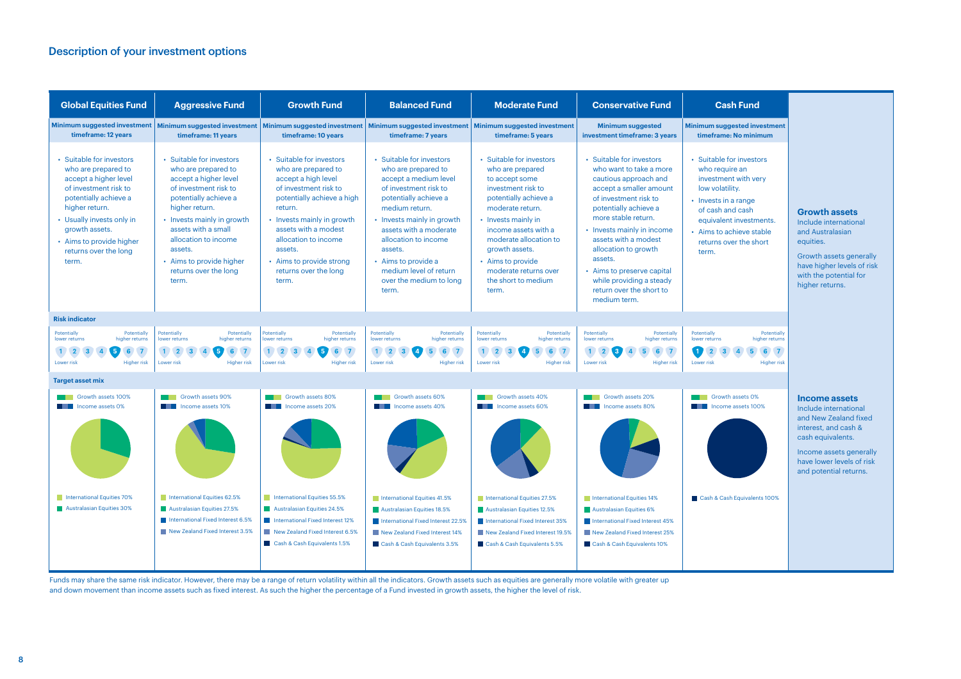# Description of your investment options



Funds may share the same risk indicator. However, there may be a range of return volatility within all the indicators. Growth assets such as equities are generally more volatile with greater up and down movement than income assets such as fixed interest. As such the higher the percentage of a Fund invested in growth assets, the higher the level of risk.

| <b>Global Equities Fund</b>                                                                                                                                                                                                                               | <b>Aggressive Fund</b>                                                                                                                                                                                                                                                                           | <b>Growth Fund</b>                                                                                                                                                                                                                                                                            | <b>Balanced Fund</b>                                                                                                                                                                                                                                                                                                         | <b>Moderate Fund</b>                                                                                                                                                                                                                                                                                       | <b>Conservative Fund</b>                                                                                                                                                                                                                                                                                                                                                        | <b>Cash Fund</b>                                                                                                                                                                                               |
|-----------------------------------------------------------------------------------------------------------------------------------------------------------------------------------------------------------------------------------------------------------|--------------------------------------------------------------------------------------------------------------------------------------------------------------------------------------------------------------------------------------------------------------------------------------------------|-----------------------------------------------------------------------------------------------------------------------------------------------------------------------------------------------------------------------------------------------------------------------------------------------|------------------------------------------------------------------------------------------------------------------------------------------------------------------------------------------------------------------------------------------------------------------------------------------------------------------------------|------------------------------------------------------------------------------------------------------------------------------------------------------------------------------------------------------------------------------------------------------------------------------------------------------------|---------------------------------------------------------------------------------------------------------------------------------------------------------------------------------------------------------------------------------------------------------------------------------------------------------------------------------------------------------------------------------|----------------------------------------------------------------------------------------------------------------------------------------------------------------------------------------------------------------|
| Minimum suggested investment<br>timeframe: 12 years                                                                                                                                                                                                       | Minimum suggested investment<br>timeframe: 11 years                                                                                                                                                                                                                                              | <b>Minimum suggested investment</b><br>timeframe: 10 years                                                                                                                                                                                                                                    | Minimum suggested investment<br>timeframe: 7 years                                                                                                                                                                                                                                                                           | Minimum suggested investment<br>timeframe: 5 years                                                                                                                                                                                                                                                         | <b>Minimum suggested</b><br>investment timeframe: 3 years                                                                                                                                                                                                                                                                                                                       | Minimum suggested inve<br>timeframe: No minin                                                                                                                                                                  |
| • Suitable for investors<br>who are prepared to<br>accept a higher level<br>of investment risk to<br>potentially achieve a<br>higher return.<br>• Usually invests only in<br>growth assets.<br>• Aims to provide higher<br>returns over the long<br>term. | Suitable for investors<br>who are prepared to<br>accept a higher level<br>of investment risk to<br>potentially achieve a<br>higher return.<br>• Invests mainly in growth<br>assets with a small<br>allocation to income<br>assets.<br>• Aims to provide higher<br>returns over the long<br>term. | Suitable for investors<br>who are prepared to<br>accept a high level<br>of investment risk to<br>potentially achieve a high<br>return.<br>• Invests mainly in growth<br>assets with a modest<br>allocation to income<br>assets.<br>• Aims to provide strong<br>returns over the long<br>term. | • Suitable for investors<br>who are prepared to<br>accept a medium level<br>of investment risk to<br>potentially achieve a<br>medium return.<br>• Invests mainly in growth<br>assets with a moderate<br>allocation to income<br>assets.<br>• Aims to provide a<br>medium level of return<br>over the medium to long<br>term. | • Suitable for investors<br>who are prepared<br>to accept some<br>investment risk to<br>potentially achieve a<br>moderate return.<br>• Invests mainly in<br>income assets with a<br>moderate allocation to<br>growth assets.<br>• Aims to provide<br>moderate returns over<br>the short to medium<br>term. | • Suitable for investors<br>who want to take a more<br>cautious approach and<br>accept a smaller amount<br>of investment risk to<br>potentially achieve a<br>more stable return.<br>• Invests mainly in income<br>assets with a modest<br>allocation to growth<br>assets.<br>• Aims to preserve capital<br>while providing a steady<br>return over the short to<br>medium term. | • Suitable for investo<br>who require an<br>investment with yer<br>low volatility.<br>• Invests in a range<br>of cash and cash<br>equivalent investm<br>• Aims to achieve sta<br>returns over the sho<br>term. |
| <b>Risk indicator</b>                                                                                                                                                                                                                                     |                                                                                                                                                                                                                                                                                                  |                                                                                                                                                                                                                                                                                               |                                                                                                                                                                                                                                                                                                                              |                                                                                                                                                                                                                                                                                                            |                                                                                                                                                                                                                                                                                                                                                                                 |                                                                                                                                                                                                                |
| <b>Potentially</b><br>Potentially<br>higher returns<br>lower returns                                                                                                                                                                                      | Potentially<br>Potentially<br>higher returns<br>lower returns                                                                                                                                                                                                                                    | <b>Potentially</b><br>Potentially<br>higher returns<br>lower returns                                                                                                                                                                                                                          | Potentially<br>Potentially<br>higher returns<br>lower returns                                                                                                                                                                                                                                                                | Potentially<br>Potentially<br>lower returns<br>higher returns                                                                                                                                                                                                                                              | <b>Potentially</b><br>Potentially<br>lower returns<br>higher returns                                                                                                                                                                                                                                                                                                            | <b>Potentially</b><br>lower returns                                                                                                                                                                            |
| Lower risk<br><b>Higher risk</b>                                                                                                                                                                                                                          | 6/7<br>$\mathbf{1}$<br>Lower risk<br><b>Higher risk</b>                                                                                                                                                                                                                                          | Lower risk<br><b>Higher risk</b>                                                                                                                                                                                                                                                              | 6<br>Lower risk<br><b>Higher risk</b>                                                                                                                                                                                                                                                                                        | Lower risk<br><b>Higher risk</b>                                                                                                                                                                                                                                                                           | $\sqrt{2}$<br>Lower risk<br><b>Higher risk</b>                                                                                                                                                                                                                                                                                                                                  | Lower risk                                                                                                                                                                                                     |
| <b>Target asset mix</b>                                                                                                                                                                                                                                   |                                                                                                                                                                                                                                                                                                  |                                                                                                                                                                                                                                                                                               |                                                                                                                                                                                                                                                                                                                              |                                                                                                                                                                                                                                                                                                            |                                                                                                                                                                                                                                                                                                                                                                                 |                                                                                                                                                                                                                |
| Growth assets 100%<br><b>THE Income assets 0%</b>                                                                                                                                                                                                         | <b>Crowth assets 90%</b><br><b>The Implement of the Income assets 10%</b>                                                                                                                                                                                                                        | Growth assets 80%<br>Income assets 20%<br>a kata                                                                                                                                                                                                                                              | Growth assets 60%<br><b>THE I</b> Income assets 40%                                                                                                                                                                                                                                                                          | Growth assets 40%<br><b>The Income assets 60%</b>                                                                                                                                                                                                                                                          | Growth assets 20%<br><b>THE INCOME ASSEts 80%</b>                                                                                                                                                                                                                                                                                                                               | <b>T</b> Growth assets 0%<br><b>THE INCOME ASSEts 100</b>                                                                                                                                                      |
| International Equities 70%<br>Australasian Equities 30%                                                                                                                                                                                                   | International Equities 62.5%<br>Australasian Equities 27.5%<br>International Fixed Interest 6.5%<br>New Zealand Fixed Interest 3.5%                                                                                                                                                              | International Equities 55.5%<br>Australasian Equities 24.5%<br>International Fixed Interest 12%<br>New Zealand Fixed Interest 6.5%<br>Cash & Cash Equivalents 1.5%                                                                                                                            | International Equities 41.5%<br>Australasian Equities 18.5%<br>International Fixed Interest 22.5%<br>New Zealand Fixed Interest 14%<br>Cash & Cash Equivalents 3.5%                                                                                                                                                          | International Equities 27.5%<br>Australasian Equities 12.5%<br>International Fixed Interest 35%<br>New Zealand Fixed Interest 19.5%<br>Cash & Cash Equivalents 5.5%                                                                                                                                        | International Equities 14%<br>Australasian Equities 6%<br>International Fixed Interest 45%<br>New Zealand Fixed Interest 25%<br>Cash & Cash Equivalents 10%                                                                                                                                                                                                                     | Cash & Cash Equivalent                                                                                                                                                                                         |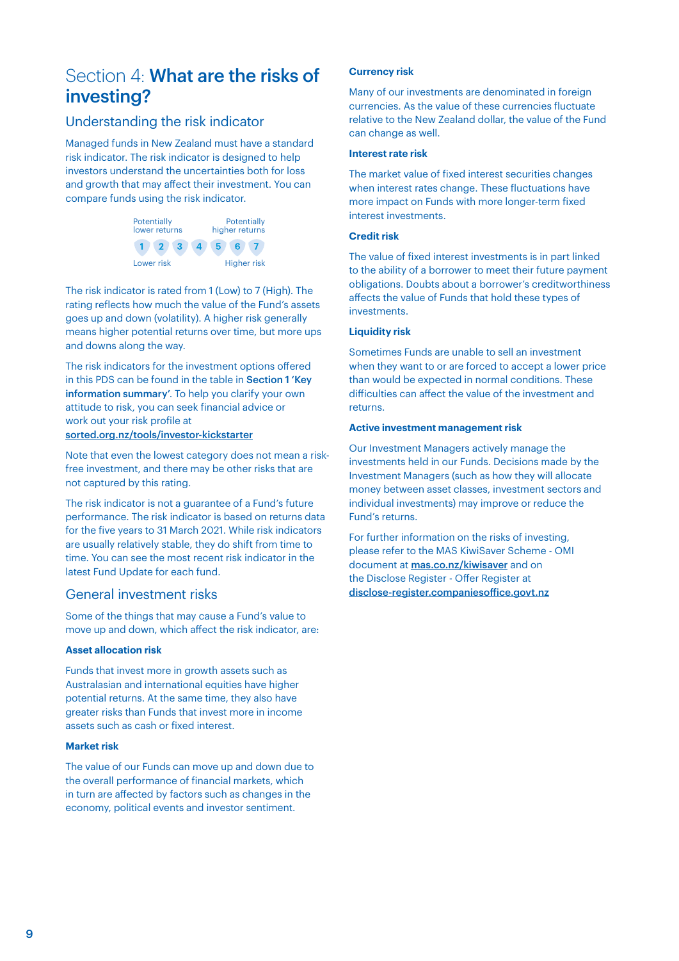# Section 4: What are the risks of investing?

### Understanding the risk indicator

Managed funds in New Zealand must have a standard risk indicator. The risk indicator is designed to help investors understand the uncertainties both for loss and growth that may affect their investment. You can compare funds using the risk indicator.



The risk indicator is rated from 1 (Low) to 7 (High). The rating reflects how much the value of the Fund's assets goes up and down (volatility). A higher risk generally means higher potential returns over time, but more ups and downs along the way.

The risk indicators for the investment options offered in this PDS can be found in the table in Section 1 'Key information summary'. To help you clarify your own attitude to risk, you can seek financial advice or work out your risk profile at

#### [sorted.org.nz/tools/investor-kickstarter](http://sorted.org.nz/tools/investor-kickstarter)

Note that even the lowest category does not mean a riskfree investment, and there may be other risks that are not captured by this rating.

The risk indicator is not a guarantee of a Fund's future performance. The risk indicator is based on returns data for the five years to 31 March 2021. While risk indicators are usually relatively stable, they do shift from time to time. You can see the most recent risk indicator in the latest Fund Update for each fund.

### General investment risks

Some of the things that may cause a Fund's value to move up and down, which affect the risk indicator, are:

#### **Asset allocation risk**

Funds that invest more in growth assets such as Australasian and international equities have higher potential returns. At the same time, they also have greater risks than Funds that invest more in income assets such as cash or fixed interest.

#### **Market risk**

The value of our Funds can move up and down due to the overall performance of financial markets, which in turn are affected by factors such as changes in the economy, political events and investor sentiment.

#### **Currency risk**

Many of our investments are denominated in foreign currencies. As the value of these currencies fluctuate relative to the New Zealand dollar, the value of the Fund can change as well.

#### **Interest rate risk**

The market value of fixed interest securities changes when interest rates change. These fluctuations have more impact on Funds with more longer-term fixed interest investments.

#### **Credit risk**

The value of fixed interest investments is in part linked to the ability of a borrower to meet their future payment obligations. Doubts about a borrower's creditworthiness affects the value of Funds that hold these types of investments.

#### **Liquidity risk**

Sometimes Funds are unable to sell an investment when they want to or are forced to accept a lower price than would be expected in normal conditions. These difficulties can affect the value of the investment and returns.

#### **Active investment management risk**

Our Investment Managers actively manage the investments held in our Funds. Decisions made by the Investment Managers (such as how they will allocate money between asset classes, investment sectors and individual investments) may improve or reduce the Fund's returns.

For further information on the risks of investing, please refer to the MAS KiwiSaver Scheme - OMI document at **[mas.co.nz/kiwisaver](http://mas.co.nz/kiwisaver)** and on the Disclose Register - Offer Register at [disclose-register.companiesoffice.govt.nz](http://disclose-register.companiesoffice.govt.nz)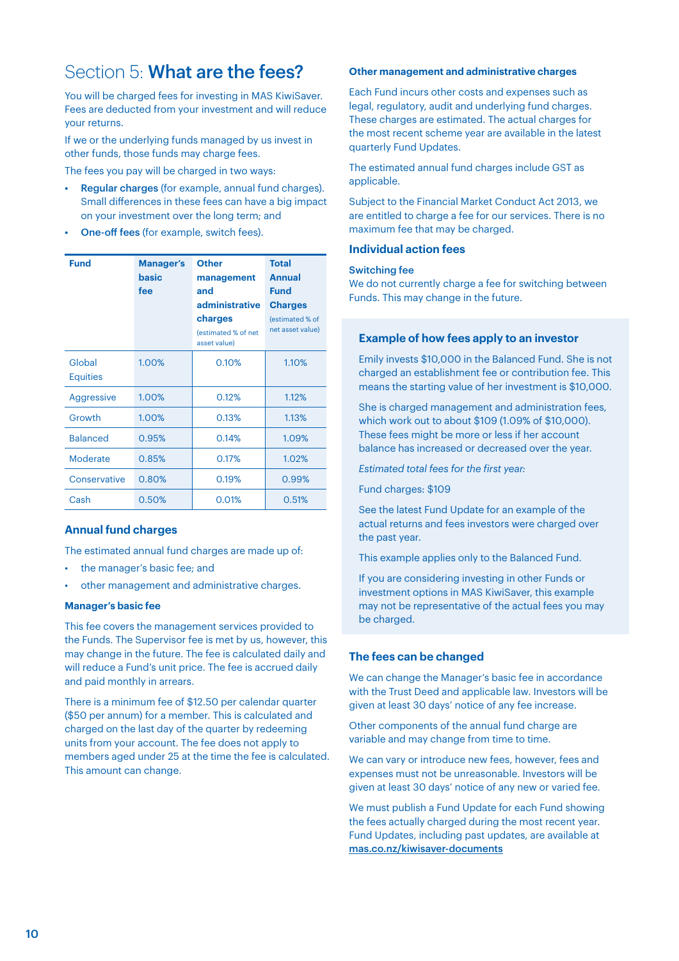# Section 5: What are the fees?

You will be charged fees for investing in MAS KiwiSaver. Fees are deducted from your investment and will reduce your returns.

If we or the underlying funds managed by us invest in other funds, those funds may charge fees.

The fees you pay will be charged in two ways:

- Regular charges (for example, annual fund charges). Small differences in these fees can have a big impact on your investment over the long term; and
- One-off fees (for example, switch fees).

| <b>Fund</b>               | <b>Manager's</b><br>basic<br>fee | <b>Other</b><br>management<br>and<br>administrative<br>charges<br>(estimated % of net<br>asset value) | <b>Total</b><br><b>Annual</b><br><b>Fund</b><br><b>Charges</b><br>(estimated % of<br>net asset value) |
|---------------------------|----------------------------------|-------------------------------------------------------------------------------------------------------|-------------------------------------------------------------------------------------------------------|
| Global<br><b>Equities</b> | 1.00%                            | 0.10%                                                                                                 | 1.10%                                                                                                 |
| Aggressive                | 1.00%                            | 0.12%                                                                                                 | 1.12%                                                                                                 |
| Growth                    | 1.00%                            | 0.13%                                                                                                 | 1.13%                                                                                                 |
| <b>Balanced</b>           | 0.95%                            | 0.14%                                                                                                 | 1.09%                                                                                                 |
| Moderate                  | 0.85%                            | 0.17%                                                                                                 | 1.02%                                                                                                 |
| Conservative              | 0.80%                            | 0.19%                                                                                                 | 0.99%                                                                                                 |
| Cash                      | 0.50%                            | 0.01%                                                                                                 | 0.51%                                                                                                 |

#### **Annual fund charges**

The estimated annual fund charges are made up of:

- the manager's basic fee; and
- other management and administrative charges.

#### **Manager's basic fee**

This fee covers the management services provided to the Funds. The Supervisor fee is met by us, however, this may change in the future. The fee is calculated daily and will reduce a Fund's unit price. The fee is accrued daily and paid monthly in arrears.

There is a minimum fee of \$12.50 per calendar quarter (\$50 per annum) for a member. This is calculated and charged on the last day of the quarter by redeeming units from your account. The fee does not apply to members aged under 25 at the time the fee is calculated. This amount can change.

#### **Other management and administrative charges**

Each Fund incurs other costs and expenses such as legal, regulatory, audit and underlying fund charges. These charges are estimated. The actual charges for the most recent scheme year are available in the latest quarterly Fund Updates.

The estimated annual fund charges include GST as applicable.

Subject to the Financial Market Conduct Act 2013, we are entitled to charge a fee for our services. There is no maximum fee that may be charged.

#### **Individual action fees**

#### Switching fee

We do not currently charge a fee for switching between Funds. This may change in the future.

#### **Example of how fees apply to an investor**

Emily invests \$10,000 in the Balanced Fund. She is not charged an establishment fee or contribution fee. This means the starting value of her investment is \$10,000.

She is charged management and administration fees, which work out to about \$109 (1.09% of \$10,000). These fees might be more or less if her account balance has increased or decreased over the year.

*Estimated total fees for the first year:*

Fund charges: \$109

See the latest Fund Update for an example of the actual returns and fees investors were charged over the past year.

This example applies only to the Balanced Fund.

If you are considering investing in other Funds or investment options in MAS KiwiSaver, this example may not be representative of the actual fees you may be charged.

#### **The fees can be changed**

We can change the Manager's basic fee in accordance with the Trust Deed and applicable law. Investors will be given at least 30 days' notice of any fee increase.

Other components of the annual fund charge are variable and may change from time to time.

We can vary or introduce new fees, however, fees and expenses must not be unreasonable. Investors will be given at least 30 days' notice of any new or varied fee.

We must publish a Fund Update for each Fund showing the fees actually charged during the most recent year. Fund Updates, including past updates, are available at [mas.co.nz/kiwisaver-documents](http://mas.co.nz/kiwisaver-documents)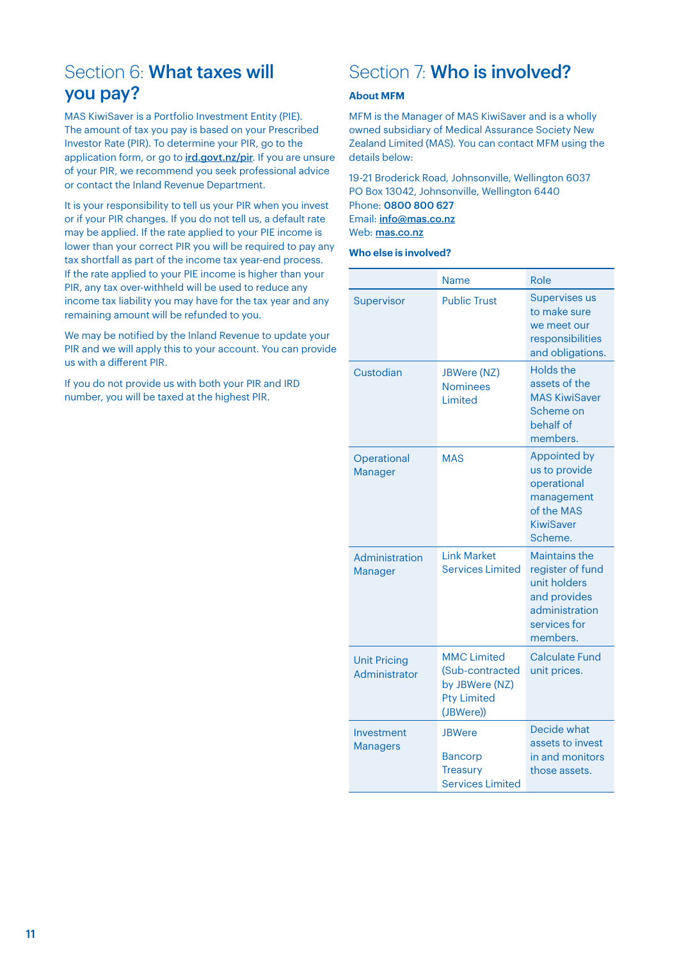# Section 6: What taxes will you pay?

MAS KiwiSaver is a Portfolio Investment Entity (PIE). The amount of tax you pay is based on your Prescribed Investor Rate (PIR). To determine your PIR, go to the application form, or go to *[ird.govt.nz/pir](http://ird.govt.nz/pir).* If you are unsure of your PIR, we recommend you seek professional advice or contact the Inland Revenue Department.

It is your responsibility to tell us your PIR when you invest or if your PIR changes. If you do not tell us, a default rate may be applied. If the rate applied to your PIE income is lower than your correct PIR you will be required to pay any tax shortfall as part of the income tax year-end process. If the rate applied to your PIE income is higher than your PIR, any tax over-withheld will be used to reduce any income tax liability you may have for the tax year and any remaining amount will be refunded to you.

We may be notified by the Inland Revenue to update your PIR and we will apply this to your account. You can provide us with a different PIR.

If you do not provide us with both your PIR and IRD number, you will be taxed at the highest PIR.

# Section 7: Who is involved?

#### **About MFM**

MFM is the Manager of MAS KiwiSaver and is a wholly owned subsidiary of Medical Assurance Society New Zealand Limited (MAS). You can contact MFM using the details below:

19-21 Broderick Road, Johnsonville, Wellington 6037 PO Box 13042, Johnsonville, Wellington 6440 Phone: 0800 800 627 Email: [info@mas.co.nz](mailto:info%40mas.co.nz?subject=) Web: [mas.co.nz](http://mas.co.nz)

#### **Who else is involved?**

|                                      | Name                                                                                       | Role                                                                                                                   |
|--------------------------------------|--------------------------------------------------------------------------------------------|------------------------------------------------------------------------------------------------------------------------|
| Supervisor                           | <b>Public Trust</b>                                                                        | <b>Supervises us</b><br>to make sure                                                                                   |
|                                      |                                                                                            | we meet our<br>responsibilities<br>and obligations.                                                                    |
| Custodian                            | JBWere (NZ)<br><b>Nominees</b><br>Limited                                                  | Holds the<br>assets of the<br><b>MAS KiwiSaver</b><br>Scheme on<br>behalf of<br>members.                               |
| Operational<br>Manager               | <b>MAS</b>                                                                                 | <b>Appointed by</b><br>us to provide<br>operational<br>management<br>of the MAS<br><b>KiwiSaver</b><br>Scheme.         |
| Administration<br><b>Manager</b>     | <b>Link Market</b><br><b>Services Limited</b>                                              | <b>Maintains the</b><br>register of fund<br>unit holders<br>and provides<br>administration<br>services for<br>members. |
| <b>Unit Pricing</b><br>Administrator | <b>MMC Limited</b><br>(Sub-contracted<br>by JBWere (NZ)<br><b>Pty Limited</b><br>(JBWere)) | <b>Calculate Fund</b><br>unit prices.                                                                                  |
| Investment<br><b>Managers</b>        | <b>JBWere</b><br><b>Bancorp</b><br><b>Treasury</b><br><b>Services Limited</b>              | Decide what<br>assets to invest<br>in and monitors<br>those assets.                                                    |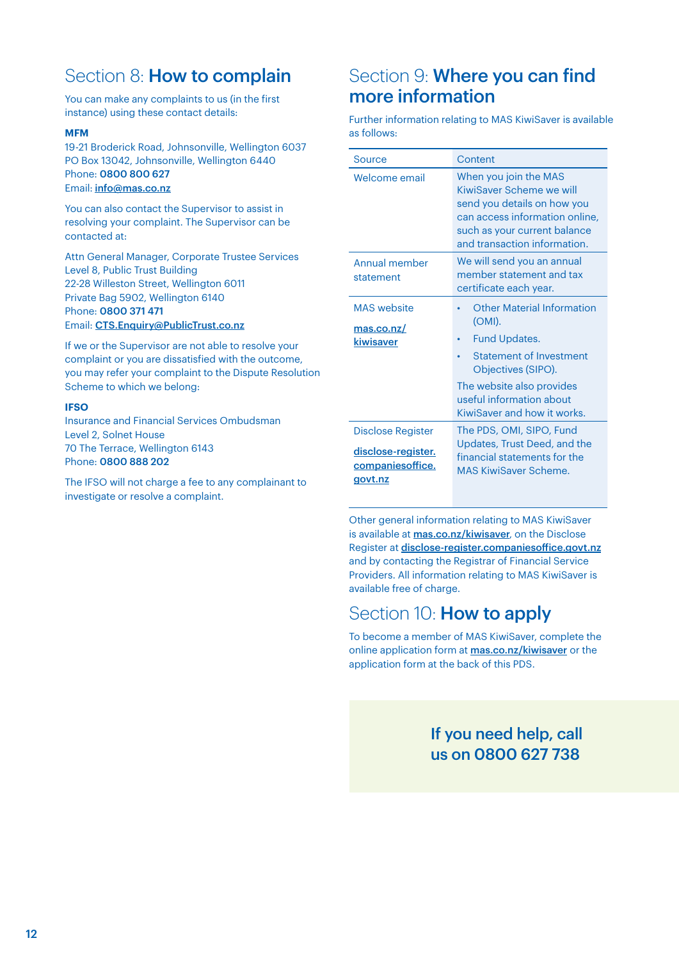# Section 8: **How to complain**

You can make any complaints to us (in the first instance) using these contact details:

#### **MFM**

19-21 Broderick Road, Johnsonville, Wellington 6037 PO Box 13042, Johnsonville, Wellington 6440 Phone: 0800 800 627 Email: [info@mas.co.nz](mailto:info%40mas.co.nz?subject=)

You can also contact the Supervisor to assist in resolving your complaint. The Supervisor can be contacted at:

Attn General Manager, Corporate Trustee Services Level 8, Public Trust Building 22-28 Willeston Street, Wellington 6011 Private Bag 5902, Wellington 6140 Phone: 0800 371 471 Email: [CTS.Enquiry@PublicTrust.co.nz](mailto:CTS.Enquiry%40PublicTrust.co.nz?subject=)

If we or the Supervisor are not able to resolve your complaint or you are dissatisfied with the outcome, you may refer your complaint to the Dispute Resolution Scheme to which we belong:

#### **IFSO**

Insurance and Financial Services Ombudsman Level 2, Solnet House 70 The Terrace, Wellington 6143 Phone: 0800 888 202

The IFSO will not charge a fee to any complainant to investigate or resolve a complaint.

# Section 9: **Where you can find** more information

Further information relating to MAS KiwiSaver is available as follows:

| Source                                                                  | Content                                                                                                                                                                                                      |
|-------------------------------------------------------------------------|--------------------------------------------------------------------------------------------------------------------------------------------------------------------------------------------------------------|
| Welcome email                                                           | When you join the MAS<br>KiwiSaver Scheme we will<br>send you details on how you<br>can access information online,<br>such as your current balance<br>and transaction information.                           |
| Annual member<br>statement                                              | We will send you an annual<br>member statement and tax<br>certificate each year.                                                                                                                             |
| <b>MAS</b> website<br>mas.co.nz/<br>kiwisaver                           | <b>Other Material Information</b><br>(OMI).<br><b>Fund Updates.</b><br>Statement of Investment<br>Objectives (SIPO).<br>The website also provides<br>useful information about<br>KiwiSaver and how it works. |
| Disclose Register<br>disclose-register.<br>companies office.<br>govt.nz | The PDS, OMI, SIPO, Fund<br>Updates, Trust Deed, and the<br>financial statements for the<br><b>MAS KiwiSaver Scheme.</b>                                                                                     |

Other general information relating to MAS KiwiSaver is available at [mas.co.nz/kiwisaver](http://mas.co.nz/kiwisaver), on the Disclose Register at [disclose-register.companiesoffice.govt.nz](http://disclose-register.companiesoffice.govt.nz) and by contacting the Registrar of Financial Service Providers. All information relating to MAS KiwiSaver is available free of charge.

# Section 10: **How to apply**

To become a member of MAS KiwiSaver, complete the online application form at [mas.co.nz/kiwisaver](http://mas.co.nz/kiwisaver) or the application form at the back of this PDS.

> If you need help, call us on 0800 627 738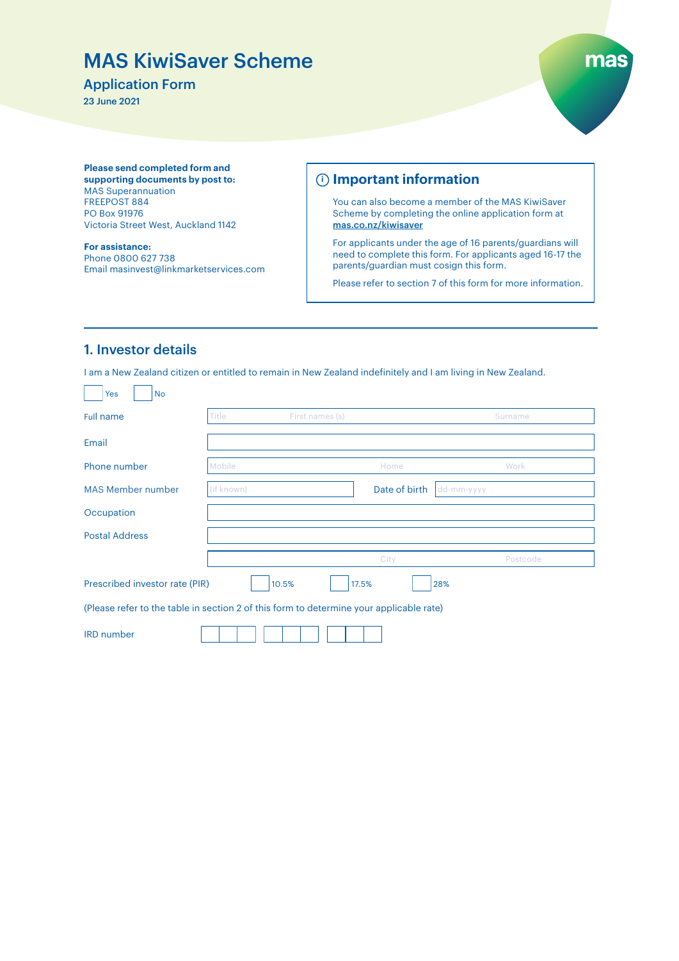# MAS KiwiSaver Scheme

### Application Form

23 June 2021



**Please send completed form and supporting documents by post to:**  MAS Superannuation FREEPOST 884 PO Box 91976 Victoria Street West, Auckland 1142

**For assistance:** Phone 0800 627 738 Email masinvest@linkmarketservices.com

### **Important information i**

You can also become a member of the MAS KiwiSaver Scheme by completing the online application form at [mas.co.nz/kiwisaver](http://mas.co.nz/kiwisaver)

For applicants under the age of 16 parents/guardians will need to complete this form. For applicants aged 16-17 the parents/guardian must cosign this form.

Please refer to section 7 of this form for more information.

### 1. Investor details

I am a New Zealand citizen or entitled to remain in New Zealand indefinitely and I am living in New Zealand.

| <b>No</b><br>Yes                                                                        |            |                 |                             |          |
|-----------------------------------------------------------------------------------------|------------|-----------------|-----------------------------|----------|
| Full name                                                                               | Title      | First names (s) |                             | Surname  |
| Email                                                                                   |            |                 |                             |          |
| Phone number                                                                            | Mobile     |                 | Home                        | Work     |
| <b>MAS Member number</b>                                                                | (if known) |                 | Date of birth<br>dd-mm-yyyy |          |
| Occupation                                                                              |            |                 |                             |          |
| <b>Postal Address</b>                                                                   |            |                 |                             |          |
|                                                                                         |            |                 | City                        | Postcode |
| Prescribed investor rate (PIR)                                                          |            | 10.5%<br>17.5%  | 28%                         |          |
| (Please refer to the table in section 2 of this form to determine your applicable rate) |            |                 |                             |          |
| <b>IRD</b> number                                                                       |            |                 |                             |          |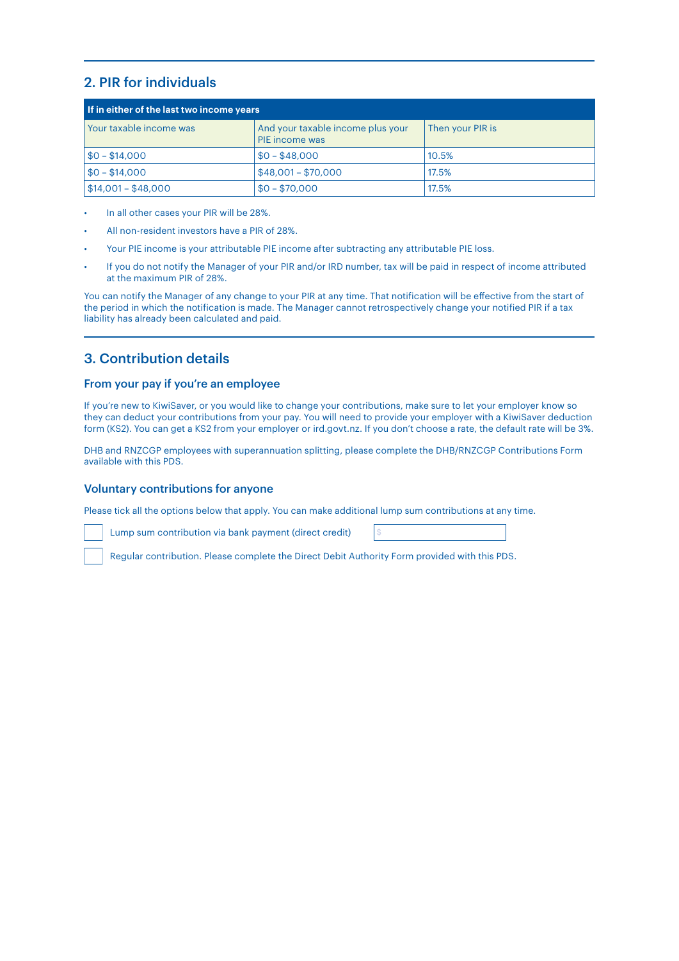# 2. PIR for individuals

| If in either of the last two income years |                                                            |                  |  |
|-------------------------------------------|------------------------------------------------------------|------------------|--|
| Your taxable income was                   | And your taxable income plus your<br><b>PIE</b> income was | Then your PIR is |  |
| $$0 - $14,000$                            | $$0 - $48,000$                                             | 10.5%            |  |
| $$0 - $14,000$                            | $$48,001 - $70,000$                                        | 17.5%            |  |
| $$14,001 - $48,000$                       | $$0 - $70,000$                                             | 17.5%            |  |

- In all other cases your PIR will be 28%.
- All non-resident investors have a PIR of 28%.
- Your PIE income is your attributable PIE income after subtracting any attributable PIE loss.
- If you do not notify the Manager of your PIR and/or IRD number, tax will be paid in respect of income attributed at the maximum PIR of 28%.

You can notify the Manager of any change to your PIR at any time. That notification will be effective from the start of the period in which the notification is made. The Manager cannot retrospectively change your notified PIR if a tax liability has already been calculated and paid.

### 3. Contribution details

#### From your pay if you're an employee

If you're new to KiwiSaver, or you would like to change your contributions, make sure to let your employer know so they can deduct your contributions from your pay. You will need to provide your employer with a KiwiSaver deduction form (KS2). You can get a KS2 from your employer or ird.govt.nz. If you don't choose a rate, the default rate will be 3%.

DHB and RNZCGP employees with superannuation splitting, please complete the DHB/RNZCGP Contributions Form available with this PDS.

#### Voluntary contributions for anyone

Please tick all the options below that apply. You can make additional lump sum contributions at any time.

Lump sum contribution via bank payment (direct credit) \$

Regular contribution. Please complete the Direct Debit Authority Form provided with this PDS.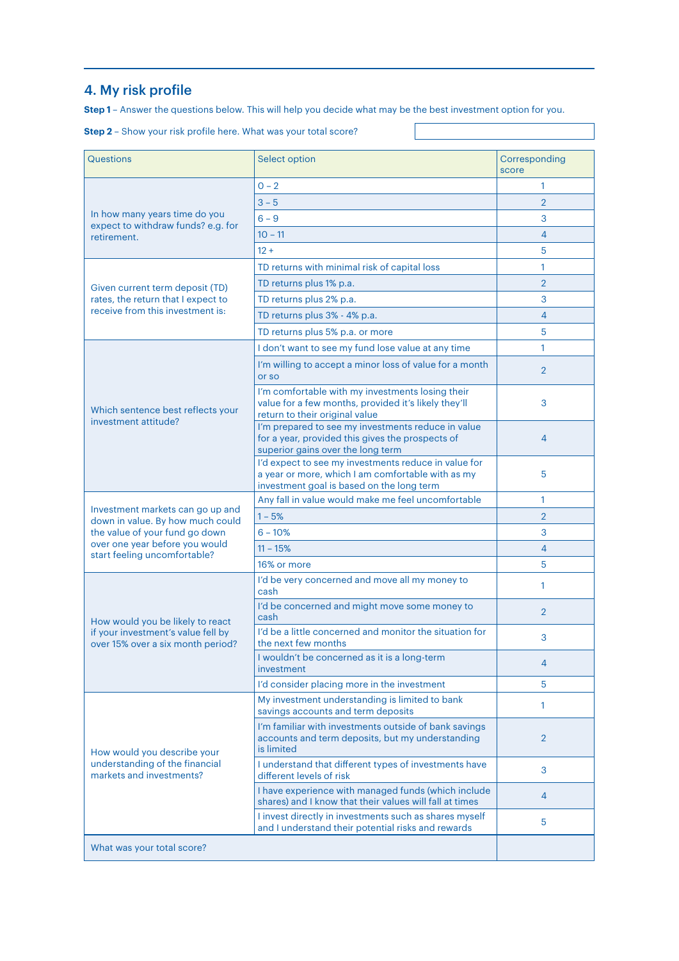# 4. My risk profile

**Step 1** – Answer the questions below. This will help you decide what may be the best investment option for you.

|  |  |  | <b>Step 2</b> - Show your risk profile here. What was your total score? |  |
|--|--|--|-------------------------------------------------------------------------|--|
|--|--|--|-------------------------------------------------------------------------|--|

| Questions                                                                          | <b>Select option</b>                                                                                                                                   | Corresponding<br>score |
|------------------------------------------------------------------------------------|--------------------------------------------------------------------------------------------------------------------------------------------------------|------------------------|
|                                                                                    | $0 - 2$                                                                                                                                                | 1                      |
| In how many years time do you<br>expect to withdraw funds? e.g. for<br>retirement. | $3 - 5$                                                                                                                                                | $\overline{2}$         |
|                                                                                    | $6 - 9$                                                                                                                                                | 3                      |
|                                                                                    | $10 - 11$                                                                                                                                              | 4                      |
|                                                                                    | $12 +$                                                                                                                                                 | 5                      |
|                                                                                    | TD returns with minimal risk of capital loss                                                                                                           | 1                      |
| Given current term deposit (TD)                                                    | TD returns plus 1% p.a.                                                                                                                                | $\overline{2}$         |
| rates, the return that I expect to                                                 | TD returns plus 2% p.a.                                                                                                                                | 3                      |
| receive from this investment is:                                                   | TD returns plus 3% - 4% p.a.                                                                                                                           | 4                      |
|                                                                                    | TD returns plus 5% p.a. or more                                                                                                                        | 5                      |
|                                                                                    | I don't want to see my fund lose value at any time                                                                                                     | 1                      |
|                                                                                    | I'm willing to accept a minor loss of value for a month<br>or so                                                                                       | $\overline{2}$         |
| Which sentence best reflects your                                                  | I'm comfortable with my investments losing their<br>value for a few months, provided it's likely they'll<br>return to their original value             | 3                      |
| investment attitude?                                                               | I'm prepared to see my investments reduce in value<br>for a year, provided this gives the prospects of<br>superior gains over the long term            | 4                      |
|                                                                                    | I'd expect to see my investments reduce in value for<br>a year or more, which I am comfortable with as my<br>investment goal is based on the long term | 5                      |
|                                                                                    | Any fall in value would make me feel uncomfortable                                                                                                     | 1                      |
| Investment markets can go up and<br>down in value. By how much could               | $1 - 5%$                                                                                                                                               | $\overline{2}$         |
| the value of your fund go down                                                     | $6 - 10%$                                                                                                                                              | 3                      |
| over one year before you would<br>start feeling uncomfortable?                     | $11 - 15%$                                                                                                                                             | 4                      |
|                                                                                    | 16% or more                                                                                                                                            | 5                      |
|                                                                                    | I'd be very concerned and move all my money to<br>cash                                                                                                 | 1                      |
| How would you be likely to react                                                   | I'd be concerned and might move some money to<br>cash                                                                                                  | $\overline{2}$         |
| if your investment's value fell by<br>over 15% over a six month period?            | I'd be a little concerned and monitor the situation for<br>the next few months                                                                         | 3                      |
|                                                                                    | I wouldn't be concerned as it is a long-term<br>investment                                                                                             | 4                      |
|                                                                                    | I'd consider placing more in the investment                                                                                                            | 5                      |
|                                                                                    | My investment understanding is limited to bank<br>savings accounts and term deposits                                                                   | 1                      |
| How would you describe your                                                        | I'm familiar with investments outside of bank savings<br>accounts and term deposits, but my understanding<br>is limited                                | $\overline{2}$         |
| understanding of the financial<br>markets and investments?                         | I understand that different types of investments have<br>different levels of risk                                                                      | 3                      |
|                                                                                    | I have experience with managed funds (which include<br>shares) and I know that their values will fall at times                                         | $\overline{4}$         |
|                                                                                    | I invest directly in investments such as shares myself<br>and I understand their potential risks and rewards                                           | 5                      |
| What was your total score?                                                         |                                                                                                                                                        |                        |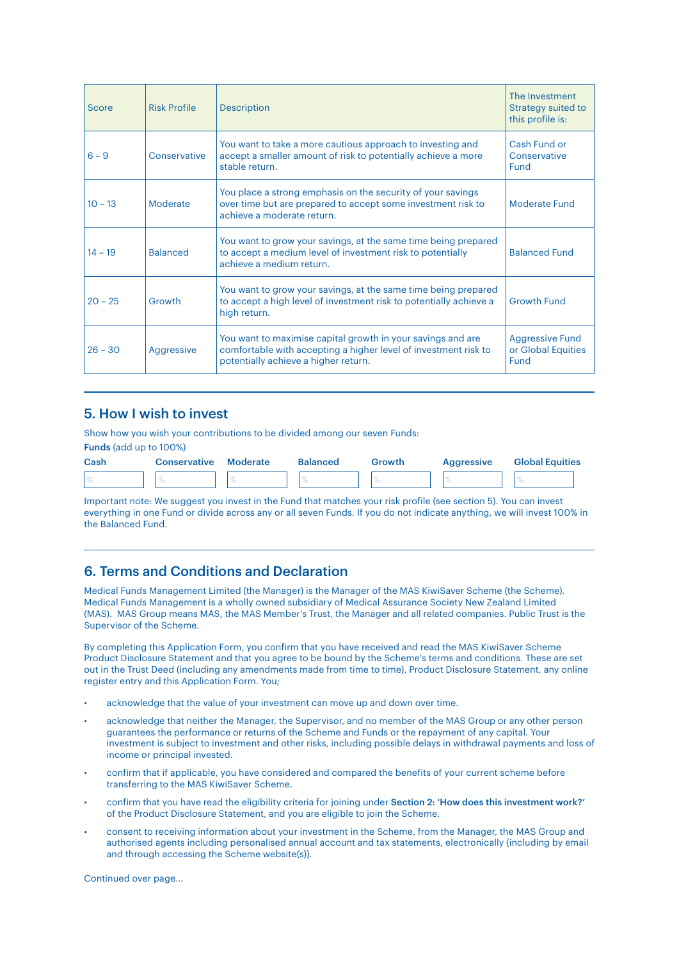| Score     | <b>Risk Profile</b> | <b>Description</b>                                                                                                                                                     | The Investment<br>Strategy suited to<br>this profile is: |
|-----------|---------------------|------------------------------------------------------------------------------------------------------------------------------------------------------------------------|----------------------------------------------------------|
| $6 - 9$   | Conservative        | You want to take a more cautious approach to investing and<br>accept a smaller amount of risk to potentially achieve a more<br>stable return.                          | Cash Fund or<br>Conservative<br><b>Fund</b>              |
| $10 - 13$ | Moderate            | You place a strong emphasis on the security of your savings<br>over time but are prepared to accept some investment risk to<br>achieve a moderate return.              | Moderate Fund                                            |
| $14 - 19$ | <b>Balanced</b>     | You want to grow your savings, at the same time being prepared<br>to accept a medium level of investment risk to potentially<br>achieve a medium return.               | <b>Balanced Fund</b>                                     |
| $20 - 25$ | Growth              | You want to grow your savings, at the same time being prepared<br>to accept a high level of investment risk to potentially achieve a<br>high return.                   | <b>Growth Fund</b>                                       |
| $26 - 30$ | Aggressive          | You want to maximise capital growth in your savings and are<br>comfortable with accepting a higher level of investment risk to<br>potentially achieve a higher return. | <b>Aggressive Fund</b><br>or Global Equities<br>Fund     |

### 5. How I wish to invest

Show how you wish your contributions to be divided among our seven Funds:

Funds (add up to 100%)

| Cash | <b>Conservative Moderate</b> | <b>Balanced</b> | Growth | Aggressive | <b>Global Equities</b> |  |  |  |
|------|------------------------------|-----------------|--------|------------|------------------------|--|--|--|
|      |                              |                 |        |            |                        |  |  |  |

Important note: We suggest you invest in the Fund that matches your risk profile (see section 5). You can invest everything in one Fund or divide across any or all seven Funds. If you do not indicate anything, we will invest 100% in the Balanced Fund.

### 6. Terms and Conditions and Declaration

Medical Funds Management Limited (the Manager) is the Manager of the MAS KiwiSaver Scheme (the Scheme). Medical Funds Management is a wholly owned subsidiary of Medical Assurance Society New Zealand Limited (MAS). MAS Group means MAS, the MAS Member's Trust, the Manager and all related companies. Public Trust is the Supervisor of the Scheme.

By completing this Application Form, you confirm that you have received and read the MAS KiwiSaver Scheme Product Disclosure Statement and that you agree to be bound by the Scheme's terms and conditions. These are set out in the Trust Deed (including any amendments made from time to time), Product Disclosure Statement, any online register entry and this Application Form. You;

- acknowledge that the value of your investment can move up and down over time.
- acknowledge that neither the Manager, the Supervisor, and no member of the MAS Group or any other person guarantees the performance or returns of the Scheme and Funds or the repayment of any capital. Your investment is subject to investment and other risks, including possible delays in withdrawal payments and loss of income or principal invested.
- confirm that if applicable, you have considered and compared the benefits of your current scheme before transferring to the MAS KiwiSaver Scheme.
- confirm that you have read the eligibility criteria for joining under Section 2: 'How does this investment work?' of the Product Disclosure Statement, and you are eligible to join the Scheme.
- consent to receiving information about your investment in the Scheme, from the Manager, the MAS Group and authorised agents including personalised annual account and tax statements, electronically (including by email and through accessing the Scheme website(s)).

Continued over page...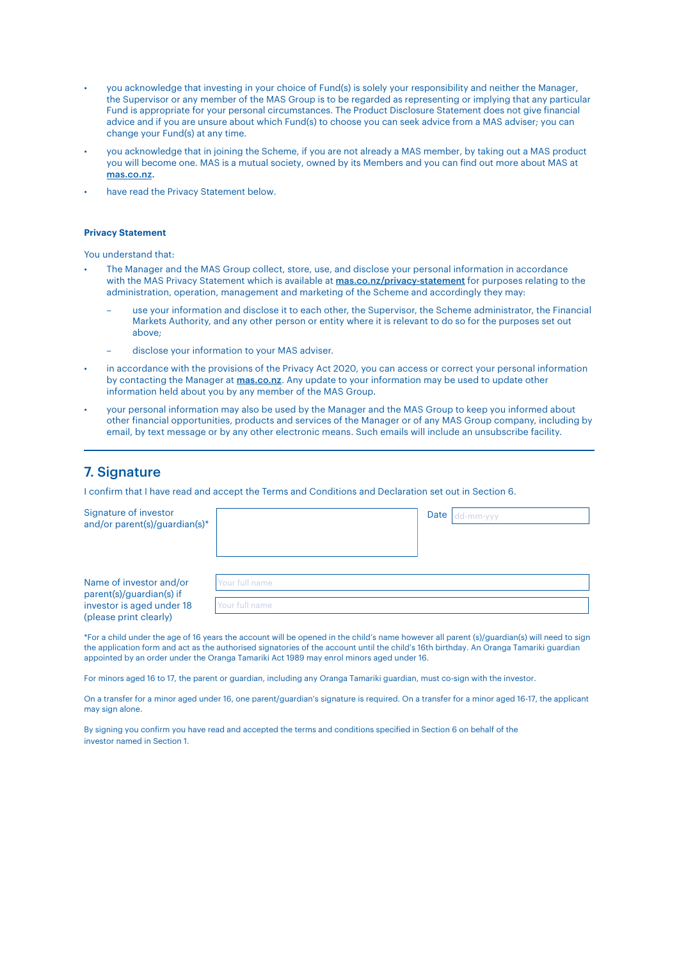- you acknowledge that investing in your choice of Fund(s) is solely your responsibility and neither the Manager, the Supervisor or any member of the MAS Group is to be regarded as representing or implying that any particular Fund is appropriate for your personal circumstances. The Product Disclosure Statement does not give financial advice and if you are unsure about which Fund(s) to choose you can seek advice from a MAS adviser; you can change your Fund(s) at any time.
- you acknowledge that in joining the Scheme, if you are not already a MAS member, by taking out a MAS product you will become one. MAS is a mutual society, owned by its Members and you can find out more about MAS at [mas.co.nz.](http://mas.co.nz.)
- have read the Privacy Statement below.

#### **Privacy Statement**

You understand that:

- The Manager and the MAS Group collect, store, use, and disclose your personal information in accordance with the MAS Privacy Statement which is available at [mas.co.nz/privacy-statement](http://mas.co.nz/privacy-statement) for purposes relating to the administration, operation, management and marketing of the Scheme and accordingly they may:
	- use your information and disclose it to each other, the Supervisor, the Scheme administrator, the Financial Markets Authority, and any other person or entity where it is relevant to do so for the purposes set out above;
	- disclose your information to your MAS adviser.
- in accordance with the provisions of the Privacy Act 2020, you can access or correct your personal information by contacting the Manager at [mas.co.nz](http://mas.co.nz). Any update to your information may be used to update other information held about you by any member of the MAS Group.
- your personal information may also be used by the Manager and the MAS Group to keep you informed about other financial opportunities, products and services of the Manager or of any MAS Group company, including by email, by text message or by any other electronic means. Such emails will include an unsubscribe facility.

### 7. Signature

I confirm that I have read and accept the Terms and Conditions and Declaration set out in Section 6.

| Signature of investor<br>and/or parent(s)/guardian(s)*                                                     |                                  | Date<br>dd-mm-vvv |
|------------------------------------------------------------------------------------------------------------|----------------------------------|-------------------|
| Name of investor and/or<br>parent(s)/guardian(s) if<br>investor is aged under 18<br>(please print clearly) | Your full name<br>Your full name |                   |

\*For a child under the age of 16 years the account will be opened in the child's name however all parent (s)/guardian(s) will need to sign the application form and act as the authorised signatories of the account until the child's 16th birthday. An Oranga Tamariki guardian appointed by an order under the Oranga Tamariki Act 1989 may enrol minors aged under 16.

For minors aged 16 to 17, the parent or guardian, including any Oranga Tamariki guardian, must co-sign with the investor.

On a transfer for a minor aged under 16, one parent/guardian's signature is required. On a transfer for a minor aged 16-17, the applicant may sign alone.

By signing you confirm you have read and accepted the terms and conditions specified in Section 6 on behalf of the investor named in Section 1.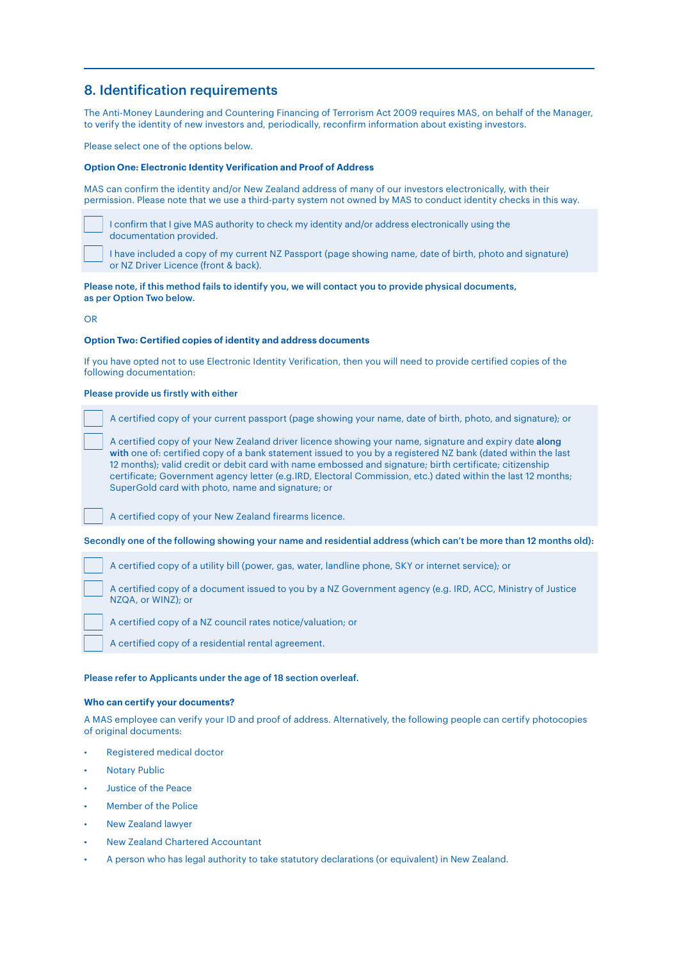### 8. Identification requirements

The Anti-Money Laundering and Countering Financing of Terrorism Act 2009 requires MAS, on behalf of the Manager, to verify the identity of new investors and, periodically, reconfirm information about existing investors.

Please select one of the options below.

#### **Option One: Electronic Identity Verification and Proof of Address**

MAS can confirm the identity and/or New Zealand address of many of our investors electronically, with their permission. Please note that we use a third-party system not owned by MAS to conduct identity checks in this way.

 I confirm that I give MAS authority to check my identity and/or address electronically using the documentation provided.

 I have included a copy of my current NZ Passport (page showing name, date of birth, photo and signature) or NZ Driver Licence (front & back).

#### Please note, if this method fails to identify you, we will contact you to provide physical documents, as per Option Two below.

OR

#### **Option Two: Certified copies of identity and address documents**

If you have opted not to use Electronic Identity Verification, then you will need to provide certified copies of the following documentation:

#### Please provide us firstly with either

A certified copy of your current passport (page showing your name, date of birth, photo, and signature); or

 A certified copy of your New Zealand driver licence showing your name, signature and expiry date along with one of: certified copy of a bank statement issued to you by a registered NZ bank (dated within the last 12 months); valid credit or debit card with name embossed and signature; birth certificate; citizenship certificate; Government agency letter (e.g.IRD, Electoral Commission, etc.) dated within the last 12 months; SuperGold card with photo, name and signature; or

A certified copy of your New Zealand firearms licence.

Secondly one of the following showing your name and residential address (which can't be more than 12 months old):

A certified copy of a utility bill (power, gas, water, landline phone, SKY or internet service); or

 A certified copy of a document issued to you by a NZ Government agency (e.g. IRD, ACC, Ministry of Justice NZQA, or WINZ); or

A certified copy of a NZ council rates notice/valuation; or

A certified copy of a residential rental agreement.

#### Please refer to Applicants under the age of 18 section overleaf.

#### **Who can certify your documents?**

A MAS employee can verify your ID and proof of address. Alternatively, the following people can certify photocopies of original documents:

- Registered medical doctor
- **Notary Public**
- Justice of the Peace
- Member of the Police
- New Zealand lawyer
- New Zealand Chartered Accountant
- A person who has legal authority to take statutory declarations (or equivalent) in New Zealand.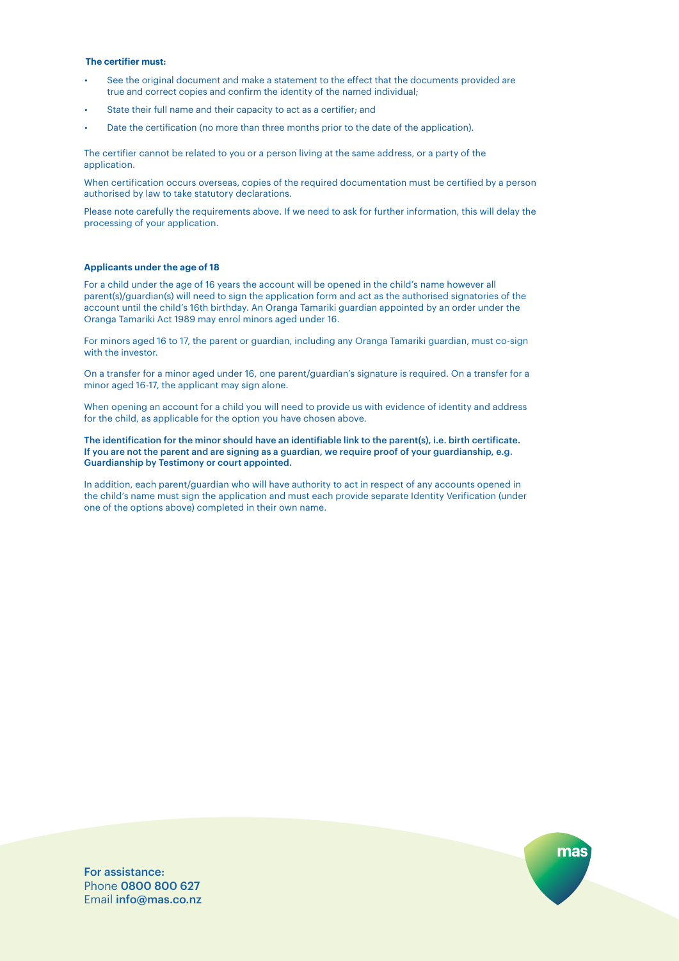#### **The certifier must:**

- See the original document and make a statement to the effect that the documents provided are true and correct copies and confirm the identity of the named individual;
- State their full name and their capacity to act as a certifier: and
- Date the certification (no more than three months prior to the date of the application).

The certifier cannot be related to you or a person living at the same address, or a party of the application.

When certification occurs overseas, copies of the required documentation must be certified by a person authorised by law to take statutory declarations.

Please note carefully the requirements above. If we need to ask for further information, this will delay the processing of your application.

#### **Applicants under the age of 18**

For a child under the age of 16 years the account will be opened in the child's name however all parent(s)/guardian(s) will need to sign the application form and act as the authorised signatories of the account until the child's 16th birthday. An Oranga Tamariki guardian appointed by an order under the Oranga Tamariki Act 1989 may enrol minors aged under 16.

For minors aged 16 to 17, the parent or guardian, including any Oranga Tamariki guardian, must co-sign with the investor.

On a transfer for a minor aged under 16, one parent/guardian's signature is required. On a transfer for a minor aged 16-17, the applicant may sign alone.

When opening an account for a child you will need to provide us with evidence of identity and address for the child, as applicable for the option you have chosen above.

The identification for the minor should have an identifiable link to the parent(s), i.e. birth certificate. If you are not the parent and are signing as a guardian, we require proof of your guardianship, e.g. Guardianship by Testimony or court appointed.

In addition, each parent/guardian who will have authority to act in respect of any accounts opened in the child's name must sign the application and must each provide separate Identity Verification (under one of the options above) completed in their own name.

For assistance: Phone 0800 800 627 Email info@mas.co.nz

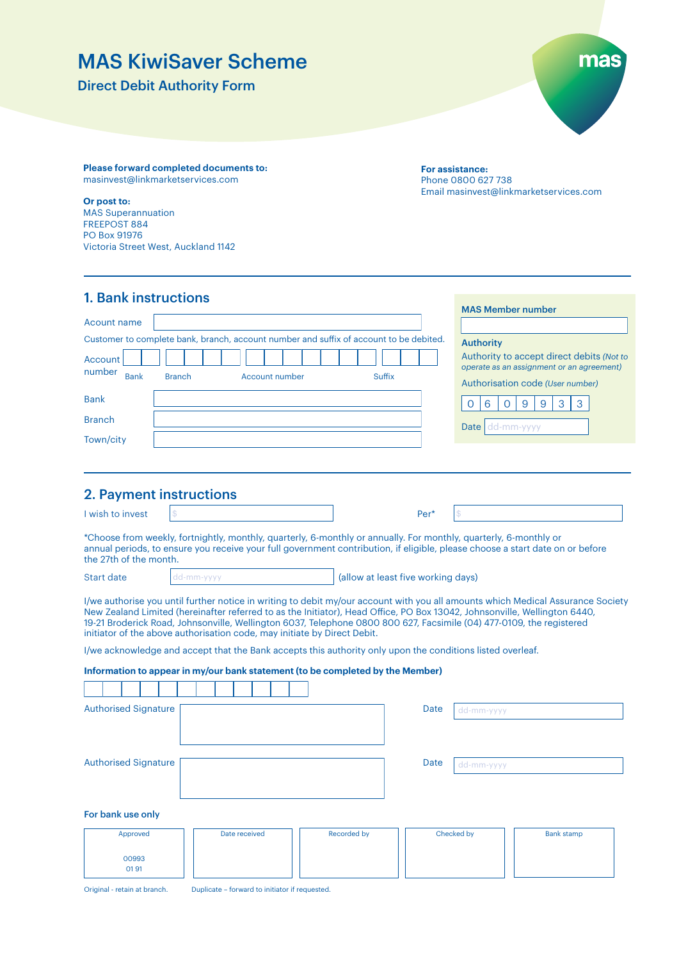# MAS KiwiSaver Scheme

Direct Debit Authority Form



**Please forward completed documents to:** masinvest@linkmarketservices.com

#### **Or post to:**

MAS Superannuation FREEPOST 884 PO Box 91976 Victoria Street West, Auckland 1142 **For assistance:** Phone 0800 627 738 Email masinvest@linkmarketservices.com

| <b>1. Bank instructions</b>                                                                                                                                                            | <b>MAS Member number</b>                                                                                                                       |
|----------------------------------------------------------------------------------------------------------------------------------------------------------------------------------------|------------------------------------------------------------------------------------------------------------------------------------------------|
| Acount name<br>Customer to complete bank, branch, account number and suffix of account to be debited.<br>Account<br>number<br><b>Bank</b><br><b>Branch</b><br>Account number<br>Suffix | <b>Authority</b><br>Authority to accept direct debits (Not to<br>operate as an assignment or an agreement)<br>Authorisation code (User number) |
| <b>Bank</b>                                                                                                                                                                            | 3<br>9<br>9<br>6<br>$\Omega$                                                                                                                   |
| <b>Branch</b>                                                                                                                                                                          | Date<br>dd-mm-yyyy                                                                                                                             |
| Town/city                                                                                                                                                                              |                                                                                                                                                |

### 2. Payment instructions

| I wish to invest |                                                                                                                   | Per* |  |
|------------------|-------------------------------------------------------------------------------------------------------------------|------|--|
|                  | *Choose from weekly, fortnightly, monthly, quarterly, 6-monthly or annually. For monthly, quarterly, 6-monthly or |      |  |

annual periods, to ensure you receive your full government contribution, if eligible, please choose a start date on or before the 27th of the month.

Start date and dd-mm-yyyy and allow at least five working days)

I/we authorise you until further notice in writing to debit my/our account with you all amounts which Medical Assurance Society New Zealand Limited (hereinafter referred to as the Initiator), Head Office, PO Box 13042, Johnsonville, Wellington 6440, 19-21 Broderick Road, Johnsonville, Wellington 6037, Telephone 0800 800 627, Facsimile (04) 477-0109, the registered initiator of the above authorisation code, may initiate by Direct Debit.

I/we acknowledge and accept that the Bank accepts this authority only upon the conditions listed overleaf.

#### **Information to appear in my/our bank statement (to be completed by the Member)**

| <b>Authorised Signature</b> |               |             | <b>Date</b><br>dd-mm-yyyy |                   |
|-----------------------------|---------------|-------------|---------------------------|-------------------|
|                             |               |             |                           |                   |
| <b>Authorised Signature</b> |               |             | Date<br>dd-mm-yyyy        |                   |
|                             |               |             |                           |                   |
| For bank use only           |               |             |                           |                   |
| Approved                    | Date received | Recorded by | Checked by                | <b>Bank stamp</b> |
| 00993<br>0191               |               |             |                           |                   |

Original - retain at branch. Duplicate – forward to initiator if requested.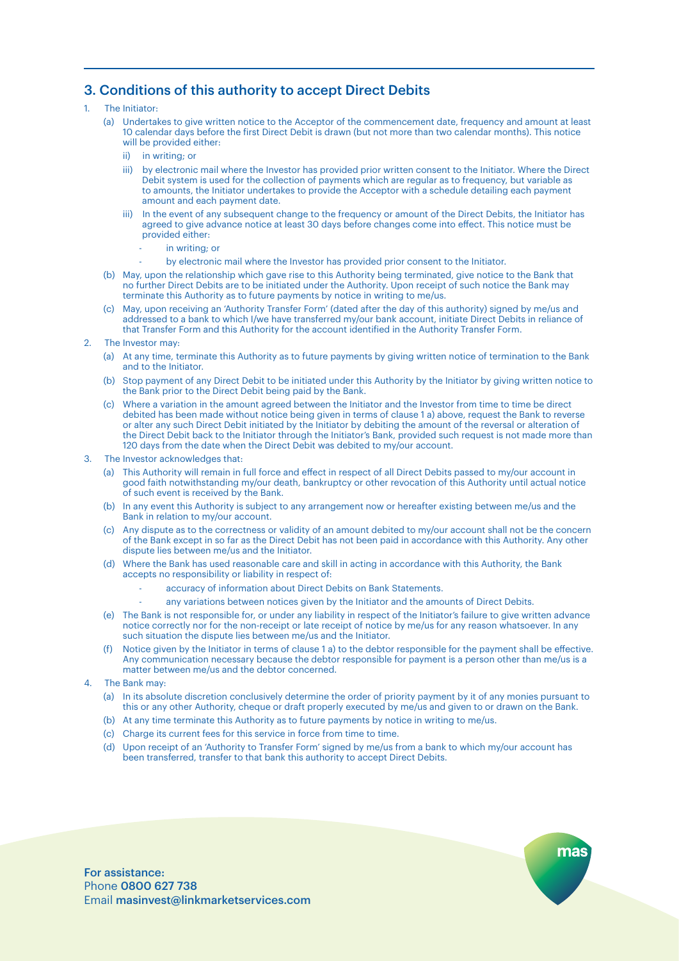### 3. Conditions of this authority to accept Direct Debits

#### 1. The Initiator:

- (a) Undertakes to give written notice to the Acceptor of the commencement date, frequency and amount at least 10 calendar days before the first Direct Debit is drawn (but not more than two calendar months). This notice will be provided either:
	- ii) in writing; or
	- iii) by electronic mail where the Investor has provided prior written consent to the Initiator. Where the Direct Debit system is used for the collection of payments which are regular as to frequency, but variable as to amounts, the Initiator undertakes to provide the Acceptor with a schedule detailing each payment amount and each payment date.
	- iii) In the event of any subsequent change to the frequency or amount of the Direct Debits, the Initiator has agreed to give advance notice at least 30 days before changes come into effect. This notice must be provided either:
		- $in$  writing; or
		- by electronic mail where the Investor has provided prior consent to the Initiator.
- (b) May, upon the relationship which gave rise to this Authority being terminated, give notice to the Bank that no further Direct Debits are to be initiated under the Authority. Upon receipt of such notice the Bank may terminate this Authority as to future payments by notice in writing to me/us.
- (c) May, upon receiving an 'Authority Transfer Form' (dated after the day of this authority) signed by me/us and addressed to a bank to which I/we have transferred my/our bank account, initiate Direct Debits in reliance of that Transfer Form and this Authority for the account identified in the Authority Transfer Form.

#### 2. The Investor may:

- (a) At any time, terminate this Authority as to future payments by giving written notice of termination to the Bank and to the Initiator.
- (b) Stop payment of any Direct Debit to be initiated under this Authority by the Initiator by giving written notice to the Bank prior to the Direct Debit being paid by the Bank.
- (c) Where a variation in the amount agreed between the Initiator and the Investor from time to time be direct debited has been made without notice being given in terms of clause 1 a) above, request the Bank to reverse or alter any such Direct Debit initiated by the Initiator by debiting the amount of the reversal or alteration of the Direct Debit back to the Initiator through the Initiator's Bank, provided such request is not made more than 120 days from the date when the Direct Debit was debited to my/our account.

#### 3. The Investor acknowledges that:

- (a) This Authority will remain in full force and effect in respect of all Direct Debits passed to my/our account in good faith notwithstanding my/our death, bankruptcy or other revocation of this Authority until actual notice of such event is received by the Bank.
- (b) In any event this Authority is subject to any arrangement now or hereafter existing between me/us and the Bank in relation to my/our account.
- (c) Any dispute as to the correctness or validity of an amount debited to my/our account shall not be the concern of the Bank except in so far as the Direct Debit has not been paid in accordance with this Authority. Any other dispute lies between me/us and the Initiator.
- (d) Where the Bank has used reasonable care and skill in acting in accordance with this Authority, the Bank accepts no responsibility or liability in respect of:
	- accuracy of information about Direct Debits on Bank Statements.
	- any variations between notices given by the Initiator and the amounts of Direct Debits.
- (e) The Bank is not responsible for, or under any liability in respect of the Initiator's failure to give written advance notice correctly nor for the non-receipt or late receipt of notice by me/us for any reason whatsoever. In any such situation the dispute lies between me/us and the Initiator.
- (f) Notice given by the Initiator in terms of clause 1 a) to the debtor responsible for the payment shall be effective. Any communication necessary because the debtor responsible for payment is a person other than me/us is a matter between me/us and the debtor concerned.
- The Bank may:
	- (a) In its absolute discretion conclusively determine the order of priority payment by it of any monies pursuant to this or any other Authority, cheque or draft properly executed by me/us and given to or drawn on the Bank.
	- (b) At any time terminate this Authority as to future payments by notice in writing to me/us.
	- (c) Charge its current fees for this service in force from time to time.
	- (d) Upon receipt of an 'Authority to Transfer Form' signed by me/us from a bank to which my/our account has been transferred, transfer to that bank this authority to accept Direct Debits.

mas

For assistance: Phone 0800 627 738 Email masinvest@linkmarketservices.com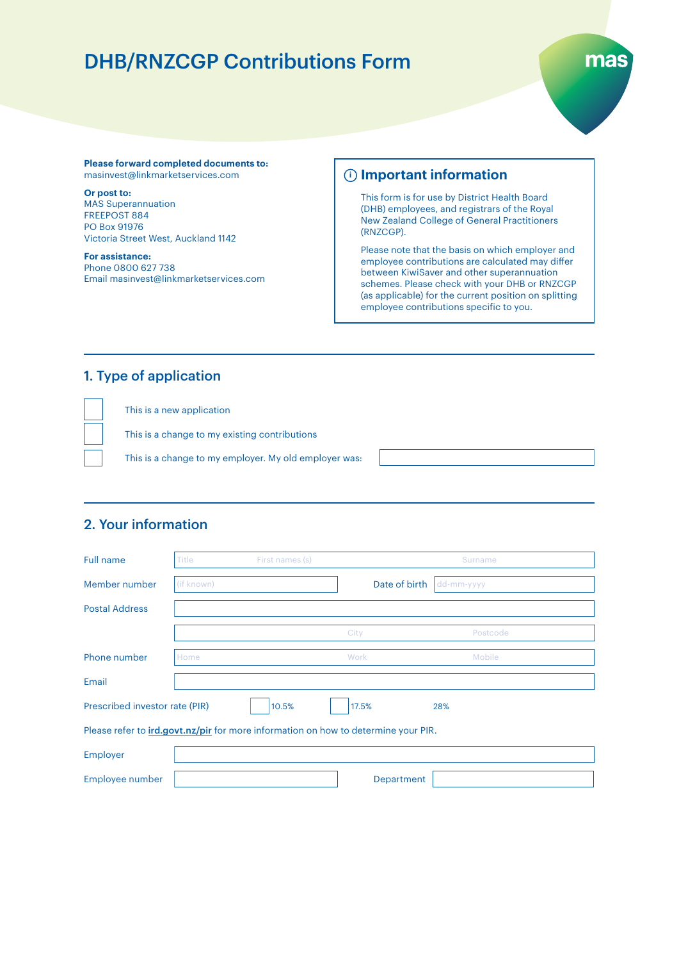# DHB/RNZCGP Contributions Form



#### **Please forward completed documents to:** masinvest@linkmarketservices.com

**Or post to:** 

MAS Superannuation FREEPOST 884 PO Box 91976 Victoria Street West, Auckland 1142

**For assistance:** Phone 0800 627 738 Email masinvest@linkmarketservices.com

### **Important information i**

This form is for use by District Health Board (DHB) employees, and registrars of the Royal New Zealand College of General Practitioners (RNZCGP).

Please note that the basis on which employer and employee contributions are calculated may differ between KiwiSaver and other superannuation schemes. Please check with your DHB or RNZCGP (as applicable) for the current position on splitting employee contributions specific to you.

### 1. Type of application

This is a new application This is a change to my existing contributions This is a change to my employer. My old employer was:

### 2. Your information

| Full name                      | Title      | First names (s)                                                                           |               | Surname    |
|--------------------------------|------------|-------------------------------------------------------------------------------------------|---------------|------------|
| Member number                  | (if known) |                                                                                           | Date of birth | dd-mm-yyyy |
| <b>Postal Address</b>          |            |                                                                                           |               |            |
|                                |            |                                                                                           | City          | Postcode   |
| Phone number                   | Home       |                                                                                           | Work          | Mobile     |
| Email                          |            |                                                                                           |               |            |
| Prescribed investor rate (PIR) |            | 10.5%                                                                                     | 17.5%         | 28%        |
|                                |            | Please refer to <i>ird.govt.nz/pir</i> for more information on how to determine your PIR. |               |            |
| Employer                       |            |                                                                                           |               |            |
| Employee number                |            |                                                                                           | Department    |            |